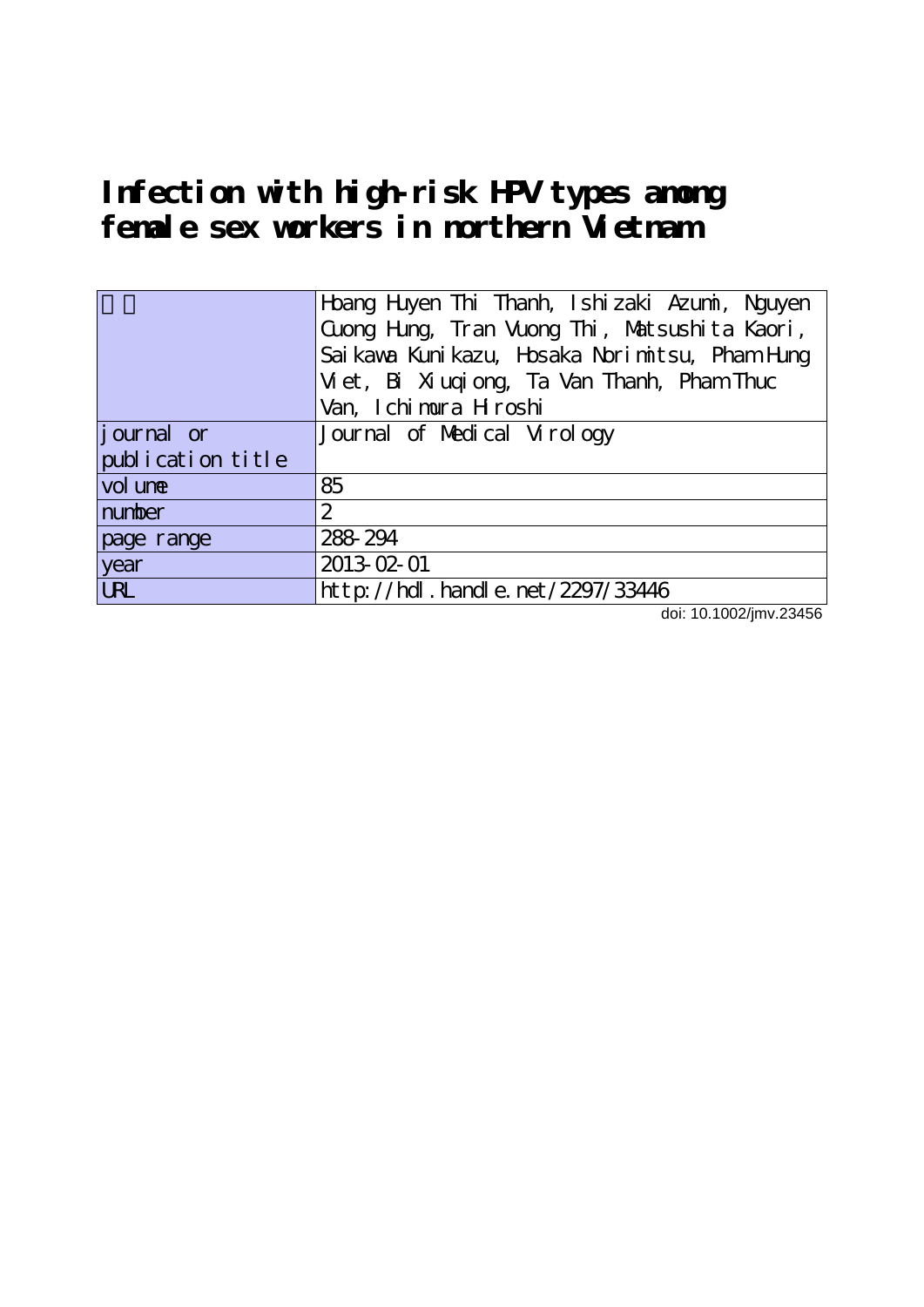# **Infection with high-risk HPV types among female sex workers in northern Vietnam**

|                   | Hoang Hiyen Thi Thanh, Ishizaki Azumi, Nguyen<br>Cuong Hung, Tran Vuong Thi, Matsushita Kaori,<br>Sai kawa Kuni kazu, Hosaka Nori mitsu, Pham Hung<br>Vi et, Bi Xi uqi ong, Ta Van Thanh, Pham Thuc |  |  |  |  |  |  |  |
|-------------------|-----------------------------------------------------------------------------------------------------------------------------------------------------------------------------------------------------|--|--|--|--|--|--|--|
|                   | Van, Ichimura Hroshi                                                                                                                                                                                |  |  |  |  |  |  |  |
| journal or        | Journal of Medical Virology                                                                                                                                                                         |  |  |  |  |  |  |  |
| publication title |                                                                                                                                                                                                     |  |  |  |  |  |  |  |
| vol une           | 85                                                                                                                                                                                                  |  |  |  |  |  |  |  |
| number            | $\overline{2}$                                                                                                                                                                                      |  |  |  |  |  |  |  |
| page range        | 288-294                                                                                                                                                                                             |  |  |  |  |  |  |  |
| year              | 2013-02-01                                                                                                                                                                                          |  |  |  |  |  |  |  |
| <b>URL</b>        | http://hdl.handle.net/2297/33446                                                                                                                                                                    |  |  |  |  |  |  |  |

doi: 10.1002/jmv.23456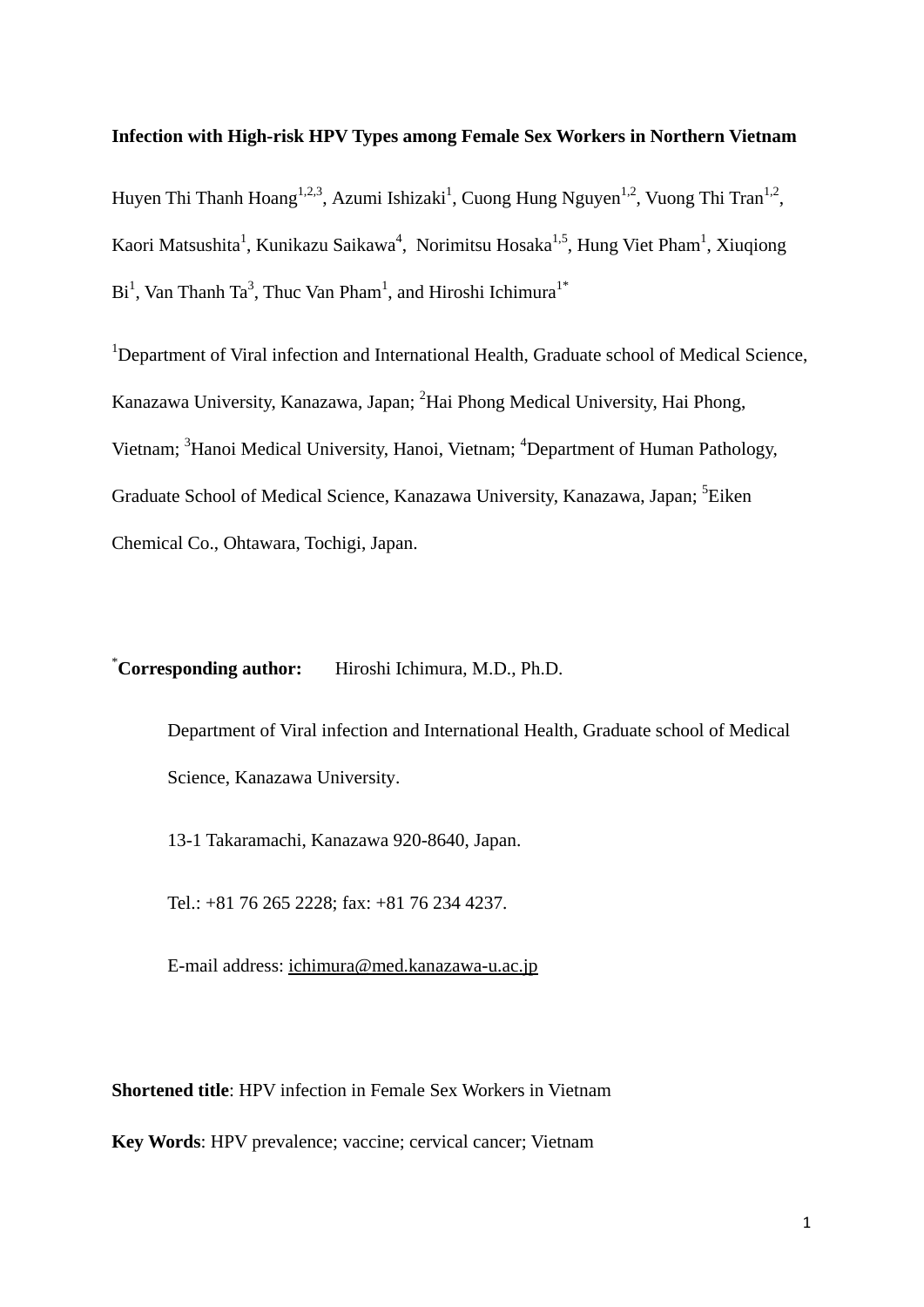#### **Infection with High-risk HPV Types among Female Sex Workers in Northern Vietnam**

Huyen Thi Thanh Hoang<sup>1,2,3</sup>, Azumi Ishizaki<sup>1</sup>, Cuong Hung Nguyen<sup>1,2</sup>, Vuong Thi Tran<sup>1,2</sup>, Kaori Matsushita<sup>1</sup>, Kunikazu Saikawa<sup>4</sup>, Norimitsu Hosaka<sup>1,5</sup>, Hung Viet Pham<sup>1</sup>, Xiuqiong  $Bi<sup>1</sup>$ , Van Thanh Ta<sup>3</sup>, Thuc Van Pham<sup>1</sup>, and Hiroshi Ichimura<sup>1\*</sup>

<sup>1</sup>Department of Viral infection and International Health, Graduate school of Medical Science, Kanazawa University, Kanazawa, Japan; <sup>2</sup>Hai Phong Medical University, Hai Phong, Vietnam; <sup>3</sup>Hanoi Medical University, Hanoi, Vietnam; <sup>4</sup>Department of Human Pathology, Graduate School of Medical Science, Kanazawa University, Kanazawa, Japan; <sup>5</sup>Eiken Chemical Co., Ohtawara, Tochigi, Japan.

#### *Corresponding author:* **Corresponding author:** Hiroshi Ichimura, M.D., Ph.D.

Department of Viral infection and International Health, Graduate school of Medical Science, Kanazawa University.

13-1 Takaramachi, Kanazawa 920-8640, Japan.

Tel.: +81 76 265 2228; fax: +81 76 234 4237.

E-mail address: [ichimura@med.kanazawa-u.ac.jp](mailto:ichimura@med.kanazawa-u.ac.jp)

**Shortened title**: HPV infection in Female Sex Workers in Vietnam

**Key Words**: HPV prevalence; vaccine; cervical cancer; Vietnam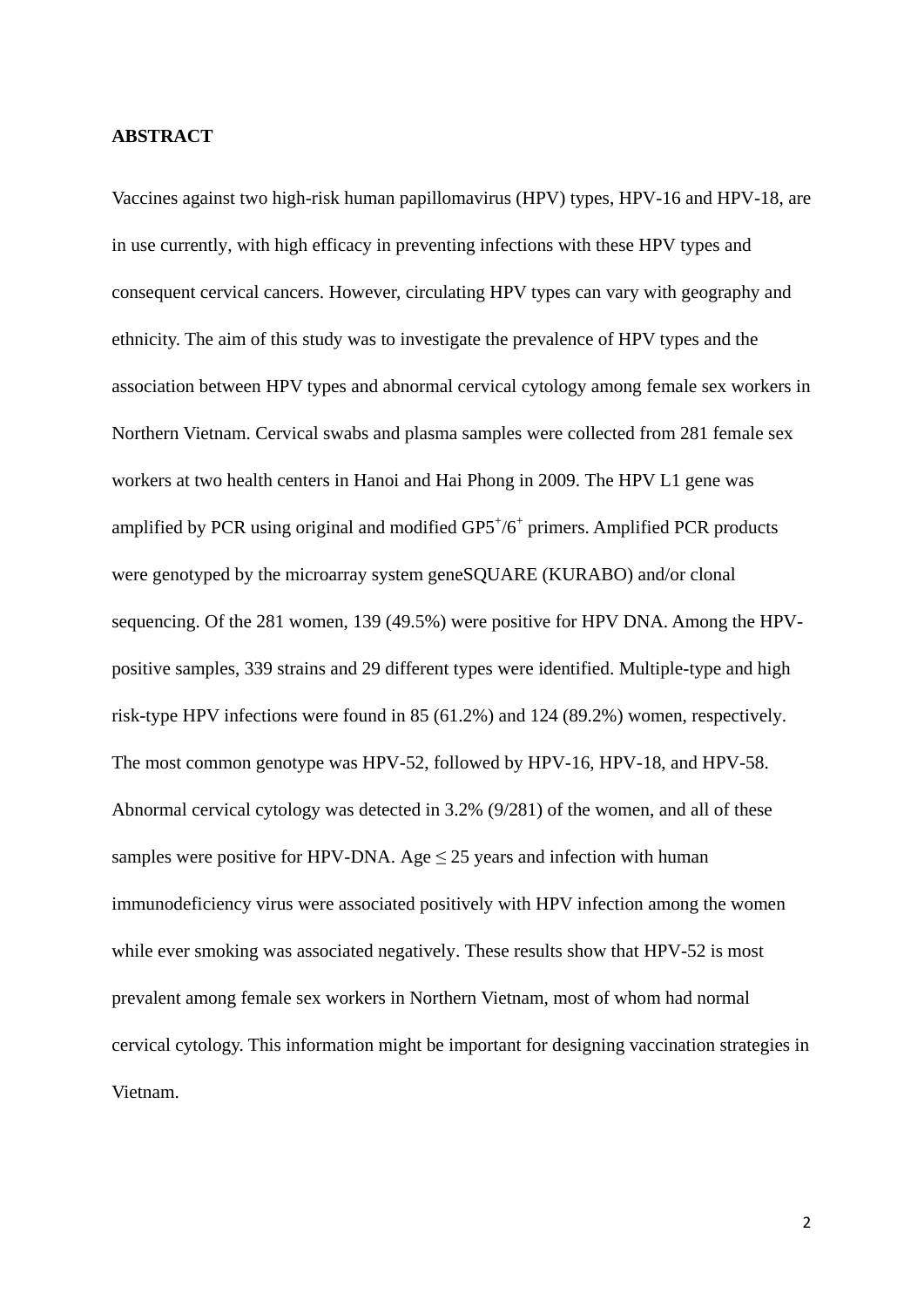#### **ABSTRACT**

Vaccines against two high-risk human papillomavirus (HPV) types, HPV-16 and HPV-18, are in use currently, with high efficacy in preventing infections with these HPV types and consequent cervical cancers. However, circulating HPV types can vary with geography and ethnicity. The aim of this study was to investigate the prevalence of HPV types and the association between HPV types and abnormal cervical cytology among female sex workers in Northern Vietnam. Cervical swabs and plasma samples were collected from 281 female sex workers at two health centers in Hanoi and Hai Phong in 2009. The HPV L1 gene was amplified by PCR using original and modified GP5+/6+ primers. Amplified PCR products were genotyped by the microarray system geneSQUARE (KURABO) and/or clonal sequencing. Of the 281 women, 139 (49.5%) were positive for HPV DNA. Among the HPVpositive samples, 339 strains and 29 different types were identified. Multiple-type and high risk-type HPV infections were found in 85 (61.2%) and 124 (89.2%) women, respectively. The most common genotype was HPV-52, followed by HPV-16, HPV-18, and HPV-58. Abnormal cervical cytology was detected in 3.2% (9/281) of the women, and all of these samples were positive for HPV-DNA. Age  $\leq$  25 years and infection with human immunodeficiency virus were associated positively with HPV infection among the women while ever smoking was associated negatively. These results show that HPV-52 is most prevalent among female sex workers in Northern Vietnam, most of whom had normal cervical cytology. This information might be important for designing vaccination strategies in Vietnam.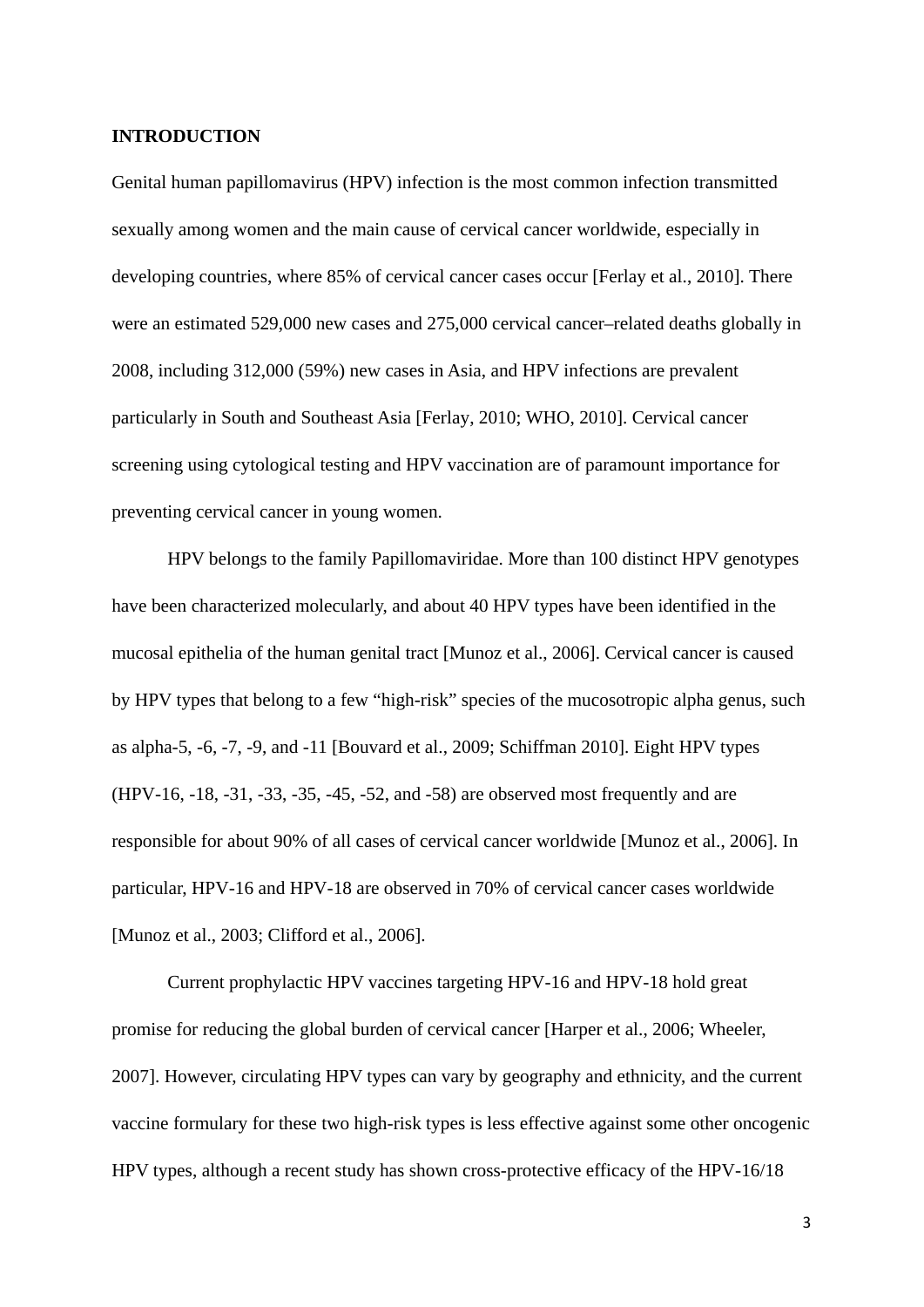### **INTRODUCTION**

Genital human papillomavirus (HPV) infection is the most common infection transmitted sexually among women and the main cause of cervical cancer worldwide, especially in developing countries, where 85% of cervical cancer cases occur [Ferlay et al., 2010]. There were an estimated 529,000 new cases and 275,000 cervical cancer–related deaths globally in 2008, including 312,000 (59%) new cases in Asia, and HPV infections are prevalent particularly in South and Southeast Asia [Ferlay, 2010; WHO, 2010]. Cervical cancer screening using cytological testing and HPV vaccination are of paramount importance for preventing cervical cancer in young women.

HPV belongs to the family Papillomaviridae. More than 100 distinct HPV genotypes have been characterized molecularly, and about 40 HPV types have been identified in the mucosal epithelia of the human genital tract [Munoz et al., 2006]. Cervical cancer is caused by HPV types that belong to a few "high-risk" species of the mucosotropic alpha genus, such as alpha-5, -6, -7, -9, and -11 [Bouvard et al., 2009; Schiffman 2010]. Eight HPV types (HPV-16, -18, -31, -33, -35, -45, -52, and -58) are observed most frequently and are responsible for about 90% of all cases of cervical cancer worldwide [Munoz et al., 2006]. In particular, HPV-16 and HPV-18 are observed in 70% of cervical cancer cases worldwide [Munoz et al., 2003; Clifford et al., 2006].

Current prophylactic HPV vaccines targeting HPV-16 and HPV-18 hold great promise for reducing the global burden of cervical cancer [Harper et al., 2006; Wheeler, 2007]. However, circulating HPV types can vary by geography and ethnicity, and the current vaccine formulary for these two high-risk types is less effective against some other oncogenic HPV types, although a recent study has shown cross-protective efficacy of the HPV-16/18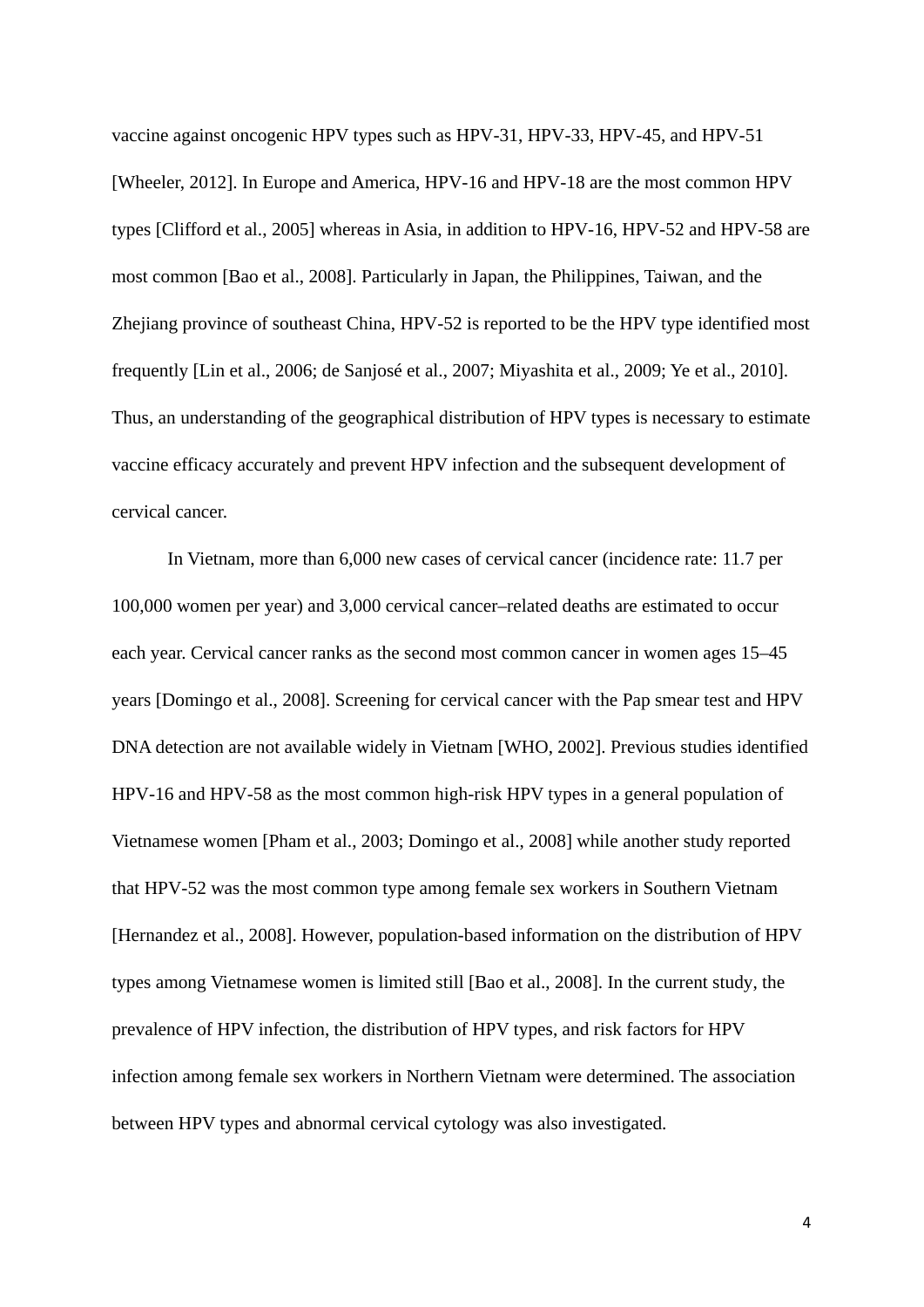vaccine against oncogenic HPV types such as HPV-31, HPV-33, HPV-45, and HPV-51 [Wheeler, 2012]. In Europe and America, HPV-16 and HPV-18 are the most common HPV types [Clifford et al., 2005] whereas in Asia, in addition to HPV-16, HPV-52 and HPV-58 are most common [Bao et al., 2008]. Particularly in Japan, the Philippines, Taiwan, and the Zhejiang province of southeast China, HPV-52 is reported to be the HPV type identified most frequently [Lin et al., 2006; de Sanjosé et al., 2007; Miyashita et al., 2009; Ye et al., 2010]. Thus, an understanding of the geographical distribution of HPV types is necessary to estimate vaccine efficacy accurately and prevent HPV infection and the subsequent development of cervical cancer.

In Vietnam, more than 6,000 new cases of cervical cancer (incidence rate: 11.7 per 100,000 women per year) and 3,000 cervical cancer–related deaths are estimated to occur each year. Cervical cancer ranks as the second most common cancer in women ages 15–45 years [Domingo et al., 2008]. Screening for cervical cancer with the Pap smear test and HPV DNA detection are not available widely in Vietnam [WHO, 2002]. Previous studies identified HPV-16 and HPV-58 as the most common high-risk HPV types in a general population of Vietnamese women [Pham et al., 2003; Domingo et al., 2008] while another study reported that HPV-52 was the most common type among female sex workers in Southern Vietnam [Hernandez et al., 2008]. However, population-based information on the distribution of HPV types among Vietnamese women is limited still [Bao et al., 2008]. In the current study, the prevalence of HPV infection, the distribution of HPV types, and risk factors for HPV infection among female sex workers in Northern Vietnam were determined. The association between HPV types and abnormal cervical cytology was also investigated.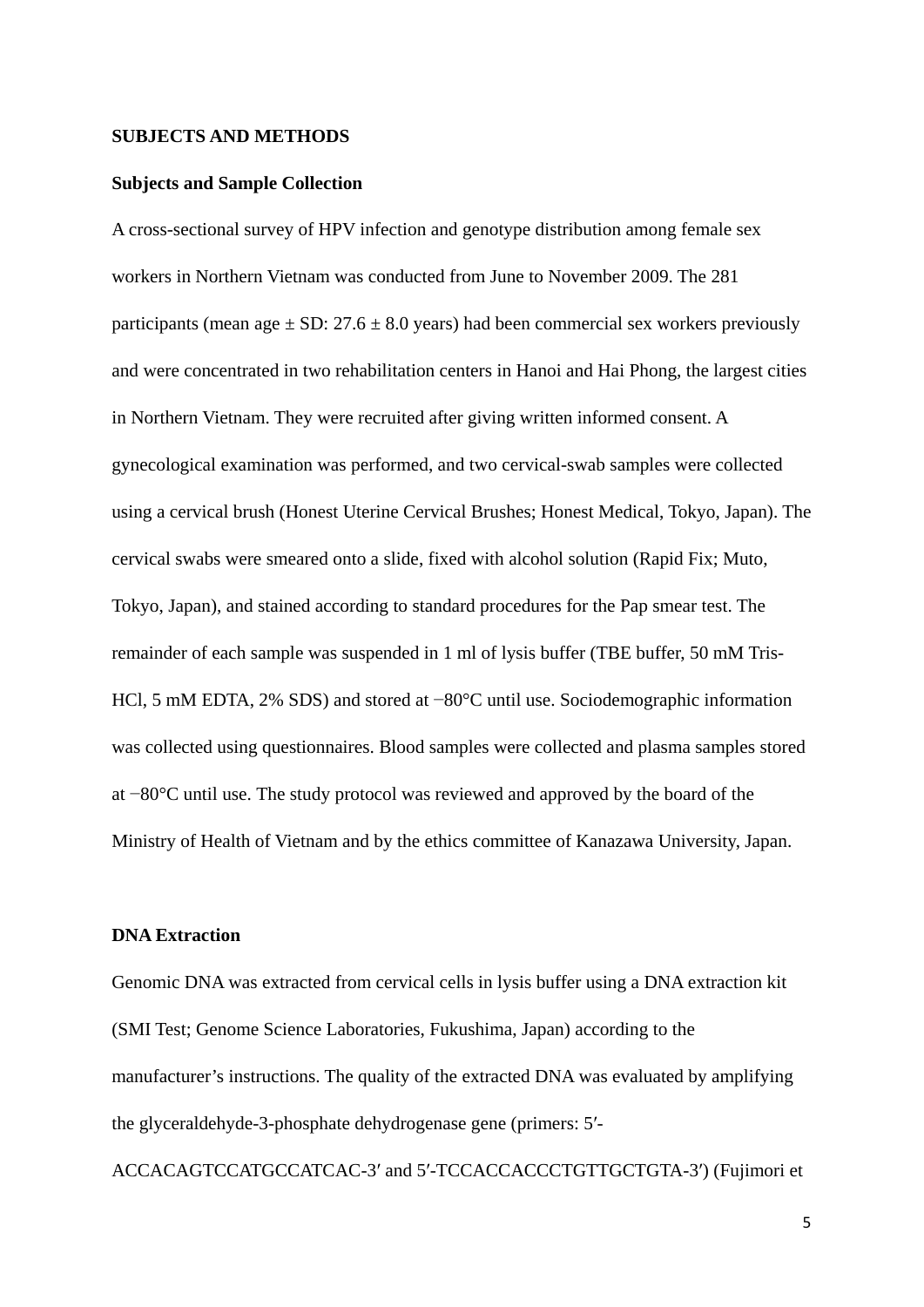#### **SUBJECTS AND METHODS**

#### **Subjects and Sample Collection**

A cross-sectional survey of HPV infection and genotype distribution among female sex workers in Northern Vietnam was conducted from June to November 2009. The 281 participants (mean age  $\pm$  SD: 27.6  $\pm$  8.0 years) had been commercial sex workers previously and were concentrated in two rehabilitation centers in Hanoi and Hai Phong, the largest cities in Northern Vietnam. They were recruited after giving written informed consent. A gynecological examination was performed, and two cervical-swab samples were collected using a cervical brush (Honest Uterine Cervical Brushes; Honest Medical, Tokyo, Japan). The cervical swabs were smeared onto a slide, fixed with alcohol solution (Rapid Fix; Muto, Tokyo, Japan), and stained according to standard procedures for the Pap smear test. The remainder of each sample was suspended in 1 ml of lysis buffer (TBE buffer, 50 mM Tris-HCl, 5 mM EDTA, 2% SDS) and stored at −80°C until use. Sociodemographic information was collected using questionnaires. Blood samples were collected and plasma samples stored at −80°C until use. The study protocol was reviewed and approved by the board of the Ministry of Health of Vietnam and by the ethics committee of Kanazawa University, Japan.

#### **DNA Extraction**

Genomic DNA was extracted from cervical cells in lysis buffer using a DNA extraction kit (SMI Test; Genome Science Laboratories, Fukushima, Japan) according to the manufacturer's instructions. The quality of the extracted DNA was evaluated by amplifying the glyceraldehyde-3-phosphate dehydrogenase gene (primers: 5′-

ACCACAGTCCATGCCATCAC-3′ and 5′-TCCACCACCCTGTTGCTGTA-3′) (Fujimori et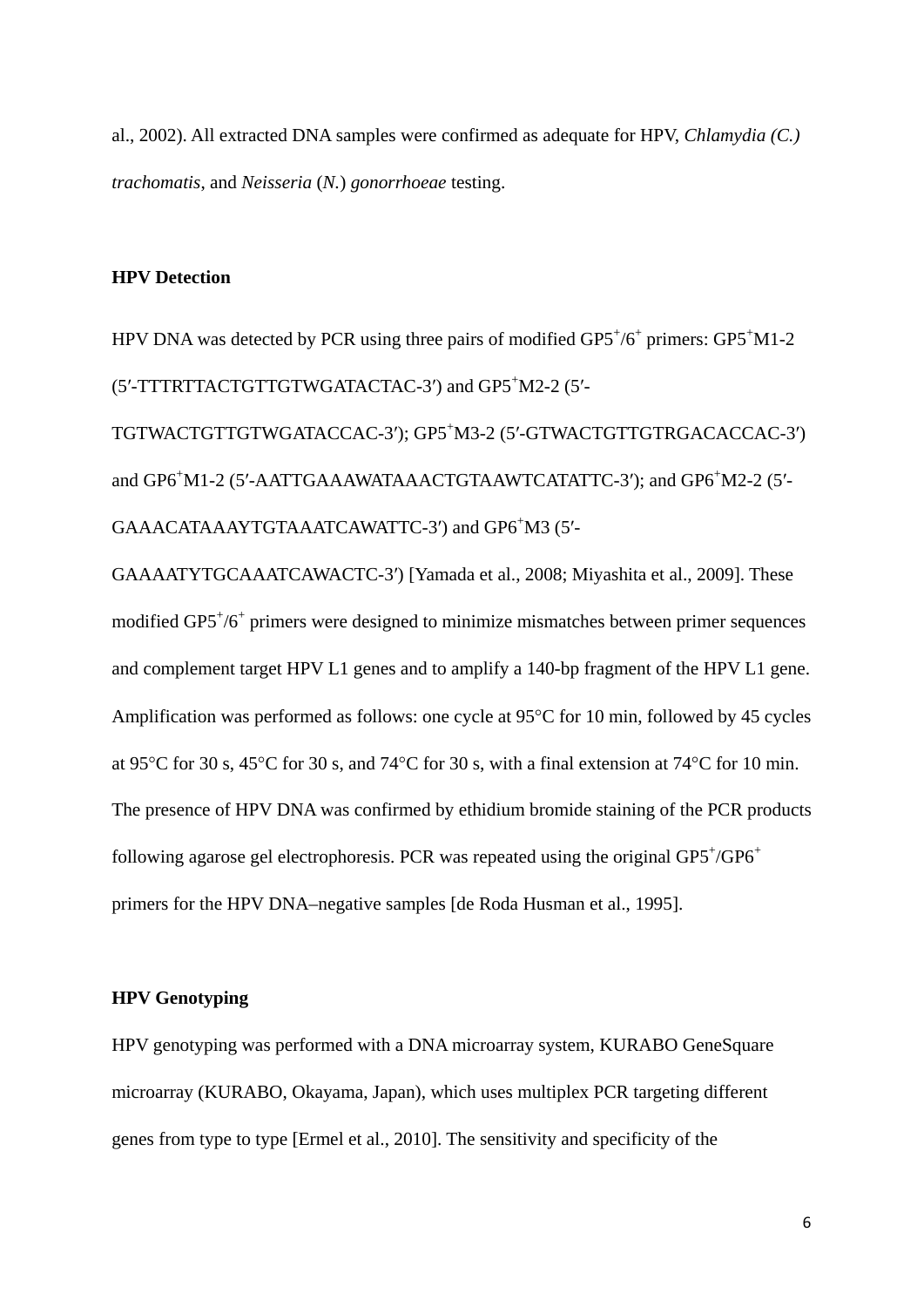al., 2002). All extracted DNA samples were confirmed as adequate for HPV, *Chlamydia (C.) trachomatis*, and *Neisseria* (*N.*) *gonorrhoeae* testing.

#### **HPV Detection**

HPV DNA was detected by PCR using three pairs of modified GP5<sup>+</sup>/6<sup>+</sup> primers: GP5<sup>+</sup>M1-2 (5'-TTTRTTACTGTTGTWGATACTAC-3') and GP5<sup>+</sup>M2-2 (5'-

TGTWACTGTTGTWGATACCAC-3′); GP5+ M3-2 (5′-GTWACTGTTGTRGACACCAC-3′) and GP6<sup>+</sup>M1-2 (5'-AATTGAAAWATAAACTGTAAWTCATATTC-3'); and GP6<sup>+</sup>M2-2 (5'-GAAACATAAAYTGTAAATCAWATTC-3') and GP6+M3 (5'-

GAAAATYTGCAAATCAWACTC-3′) [Yamada et al., 2008; Miyashita et al., 2009]. These modified GP5<sup>+</sup>/6<sup>+</sup> primers were designed to minimize mismatches between primer sequences and complement target HPV L1 genes and to amplify a 140-bp fragment of the HPV L1 gene. Amplification was performed as follows: one cycle at 95°C for 10 min, followed by 45 cycles at 95°C for 30 s, 45°C for 30 s, and 74°C for 30 s, with a final extension at 74°C for 10 min. The presence of HPV DNA was confirmed by ethidium bromide staining of the PCR products following agarose gel electrophoresis. PCR was repeated using the original  $GPS^+\/ GPG^+$ primers for the HPV DNA–negative samples [de Roda Husman et al., 1995].

# **HPV Genotyping**

HPV genotyping was performed with a DNA microarray system, KURABO GeneSquare microarray (KURABO, Okayama, Japan), which uses multiplex PCR targeting different genes from type to type [Ermel et al., 2010]. The sensitivity and specificity of the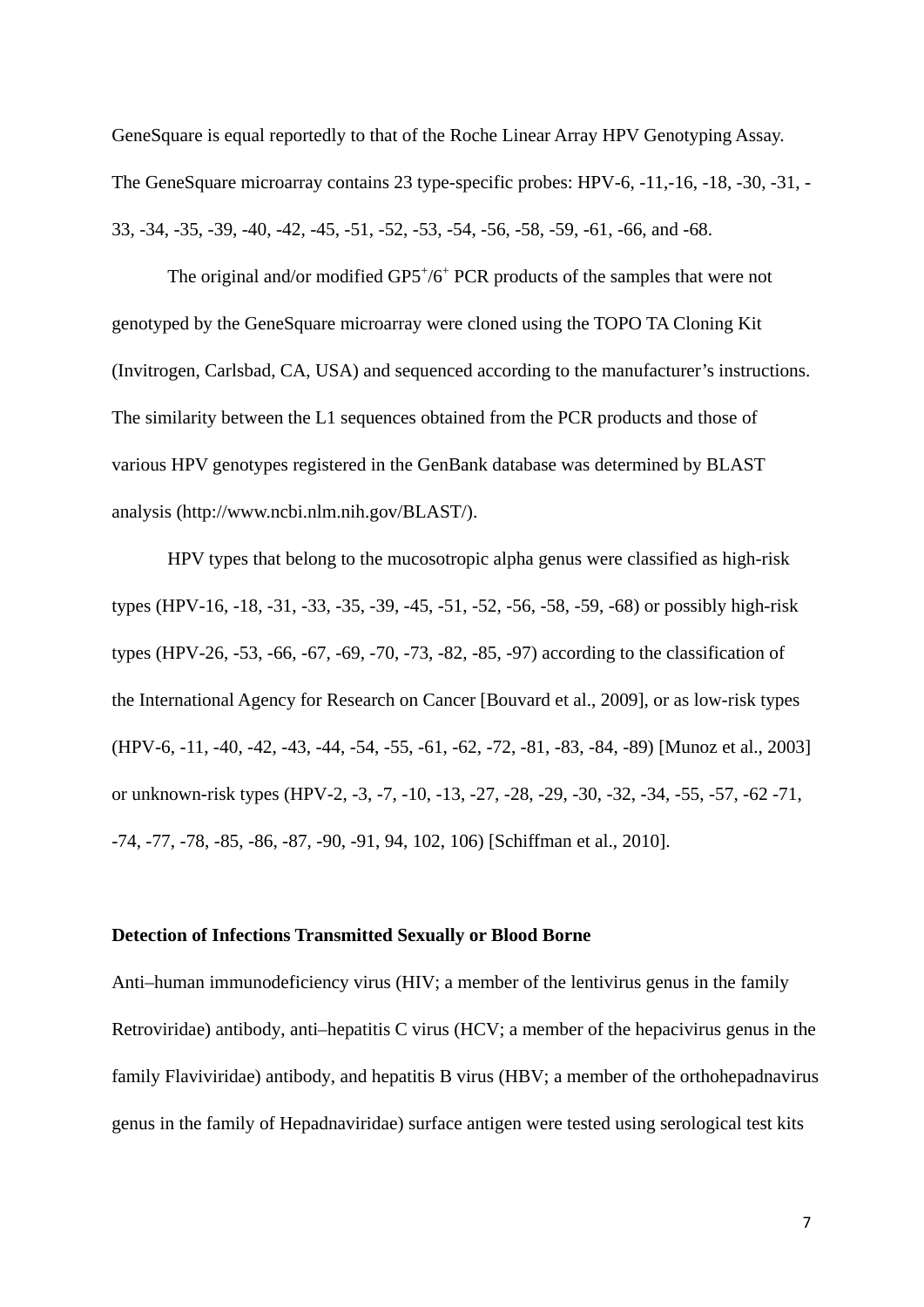GeneSquare is equal reportedly to that of the Roche Linear Array HPV Genotyping Assay. The GeneSquare microarray contains 23 type-specific probes: HPV-6, -11,-16, -18, -30, -31, - 33, -34, -35, -39, -40, -42, -45, -51, -52, -53, -54, -56, -58, -59, -61, -66, and -68.

The original and/or modified GP5+/6<sup>+</sup> PCR products of the samples that were not genotyped by the GeneSquare microarray were cloned using the TOPO TA Cloning Kit (Invitrogen, Carlsbad, CA, USA) and sequenced according to the manufacturer's instructions. The similarity between the L1 sequences obtained from the PCR products and those of various HPV genotypes registered in the GenBank database was determined by BLAST analysis (http://www.ncbi.nlm.nih.gov/BLAST/).

HPV types that belong to the mucosotropic alpha genus were classified as high-risk types (HPV-16, -18, -31, -33, -35, -39, -45, -51, -52, -56, -58, -59, -68) or possibly high-risk types (HPV-26, -53, -66, -67, -69, -70, -73, -82, -85, -97) according to the classification of the International Agency for Research on Cancer [Bouvard et al., 2009], or as low-risk types (HPV-6, -11, -40, -42, -43, -44, -54, -55, -61, -62, -72, -81, -83, -84, -89) [Munoz et al., 2003] or unknown-risk types (HPV-2, -3, -7, -10, -13, -27, -28, -29, -30, -32, -34, -55, -57, -62 -71, -74, -77, -78, -85, -86, -87, -90, -91, 94, 102, 106) [Schiffman et al., 2010].

#### **Detection of Infections Transmitted Sexually or Blood Borne**

Anti–human immunodeficiency virus (HIV; a member of the lentivirus genus in the family Retroviridae) antibody, anti–hepatitis C virus (HCV; a member of the hepacivirus genus in the family Flaviviridae) antibody, and hepatitis B virus (HBV; a member of the orthohepadnavirus genus in the family of Hepadnaviridae) surface antigen were tested using serological test kits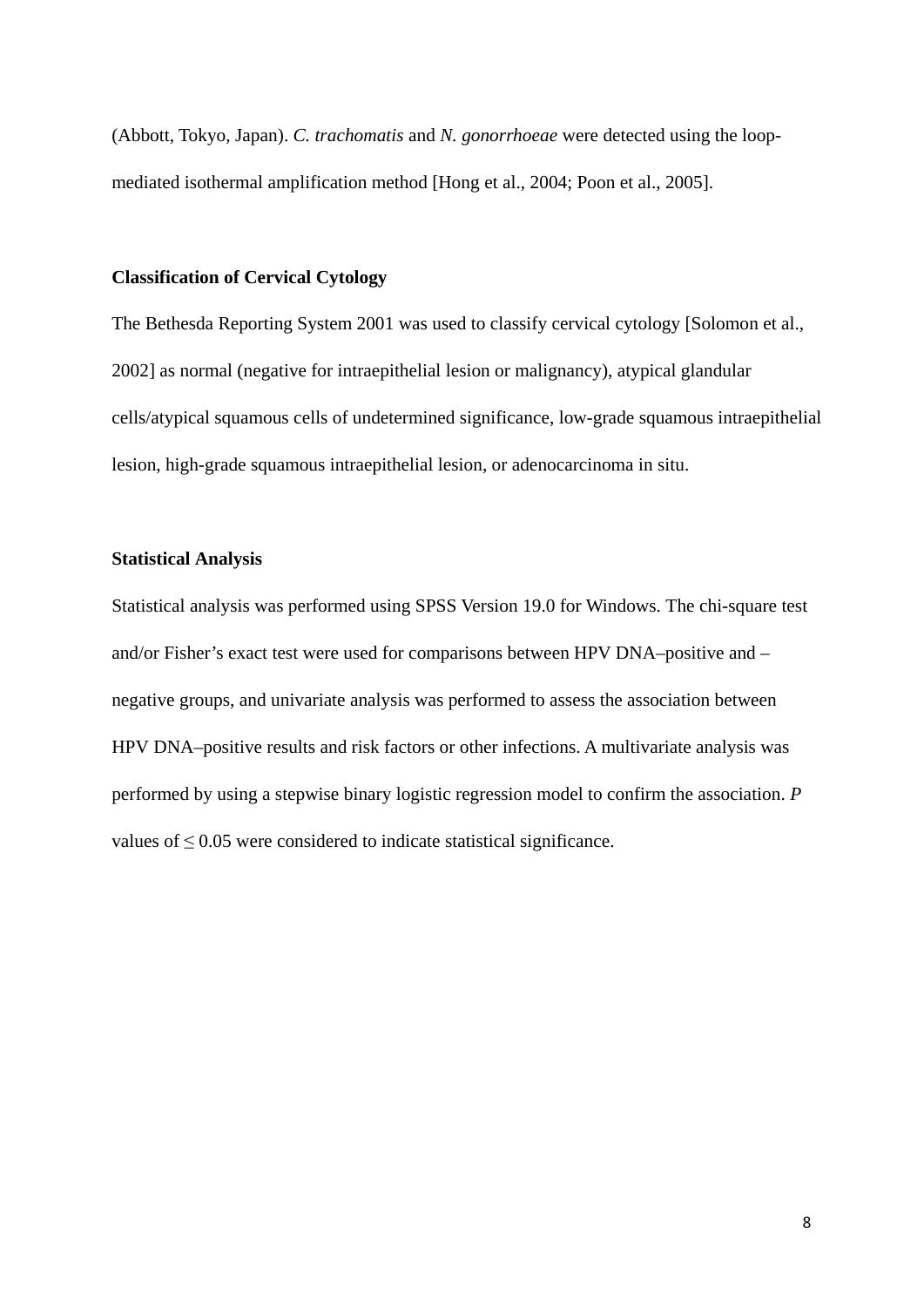(Abbott, Tokyo, Japan). *C. trachomatis* and *N. gonorrhoeae* were detected using the loopmediated isothermal amplification method [Hong et al., 2004; Poon et al., 2005].

#### **Classification of Cervical Cytology**

The Bethesda Reporting System 2001 was used to classify cervical cytology [Solomon et al., 2002] as normal (negative for intraepithelial lesion or malignancy), atypical glandular cells/atypical squamous cells of undetermined significance, low-grade squamous intraepithelial lesion, high-grade squamous intraepithelial lesion, or adenocarcinoma in situ.

#### **Statistical Analysis**

Statistical analysis was performed using SPSS Version 19.0 for Windows. The chi-square test and/or Fisher's exact test were used for comparisons between HPV DNA–positive and – negative groups, and univariate analysis was performed to assess the association between HPV DNA–positive results and risk factors or other infections. A multivariate analysis was performed by using a stepwise binary logistic regression model to confirm the association. *P* values of ≤ 0.05 were considered to indicate statistical significance.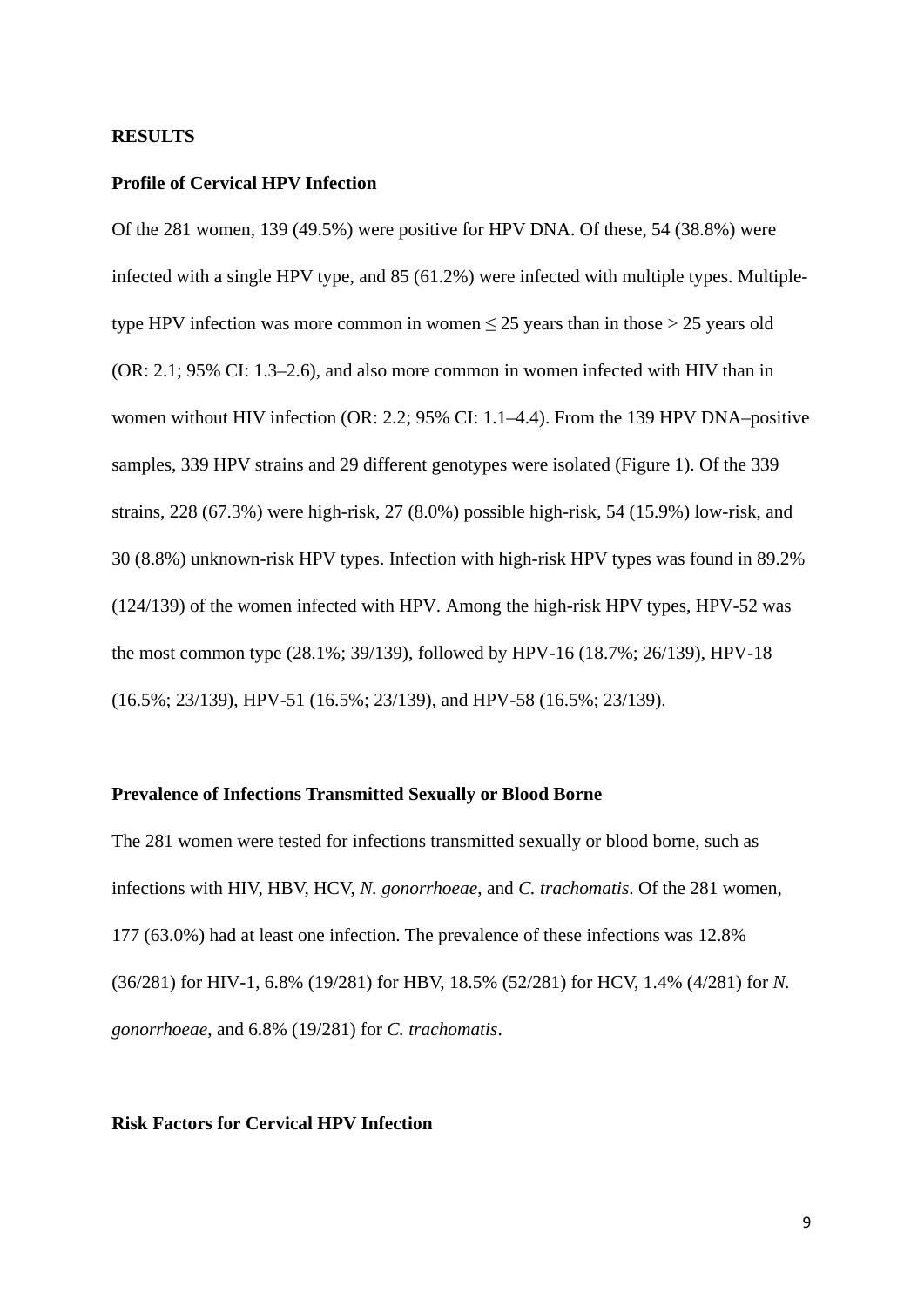#### **RESULTS**

#### **Profile of Cervical HPV Infection**

Of the 281 women, 139 (49.5%) were positive for HPV DNA. Of these, 54 (38.8%) were infected with a single HPV type, and 85 (61.2%) were infected with multiple types. Multipletype HPV infection was more common in women  $\leq 25$  years than in those  $> 25$  years old (OR: 2.1; 95% CI: 1.3–2.6), and also more common in women infected with HIV than in women without HIV infection (OR: 2.2; 95% CI: 1.1–4.4). From the 139 HPV DNA–positive samples, 339 HPV strains and 29 different genotypes were isolated (Figure 1). Of the 339 strains, 228 (67.3%) were high-risk, 27 (8.0%) possible high-risk, 54 (15.9%) low-risk, and 30 (8.8%) unknown-risk HPV types. Infection with high-risk HPV types was found in 89.2% (124/139) of the women infected with HPV. Among the high-risk HPV types, HPV-52 was the most common type (28.1%; 39/139), followed by HPV-16 (18.7%; 26/139), HPV-18 (16.5%; 23/139), HPV-51 (16.5%; 23/139), and HPV-58 (16.5%; 23/139).

### **Prevalence of Infections Transmitted Sexually or Blood Borne**

The 281 women were tested for infections transmitted sexually or blood borne, such as infections with HIV, HBV, HCV, *N. gonorrhoeae*, and *C. trachomatis*. Of the 281 women, 177 (63.0%) had at least one infection. The prevalence of these infections was 12.8% (36/281) for HIV-1, 6.8% (19/281) for HBV, 18.5% (52/281) for HCV, 1.4% (4/281) for *N. gonorrhoeae*, and 6.8% (19/281) for *C. trachomatis*.

#### **Risk Factors for Cervical HPV Infection**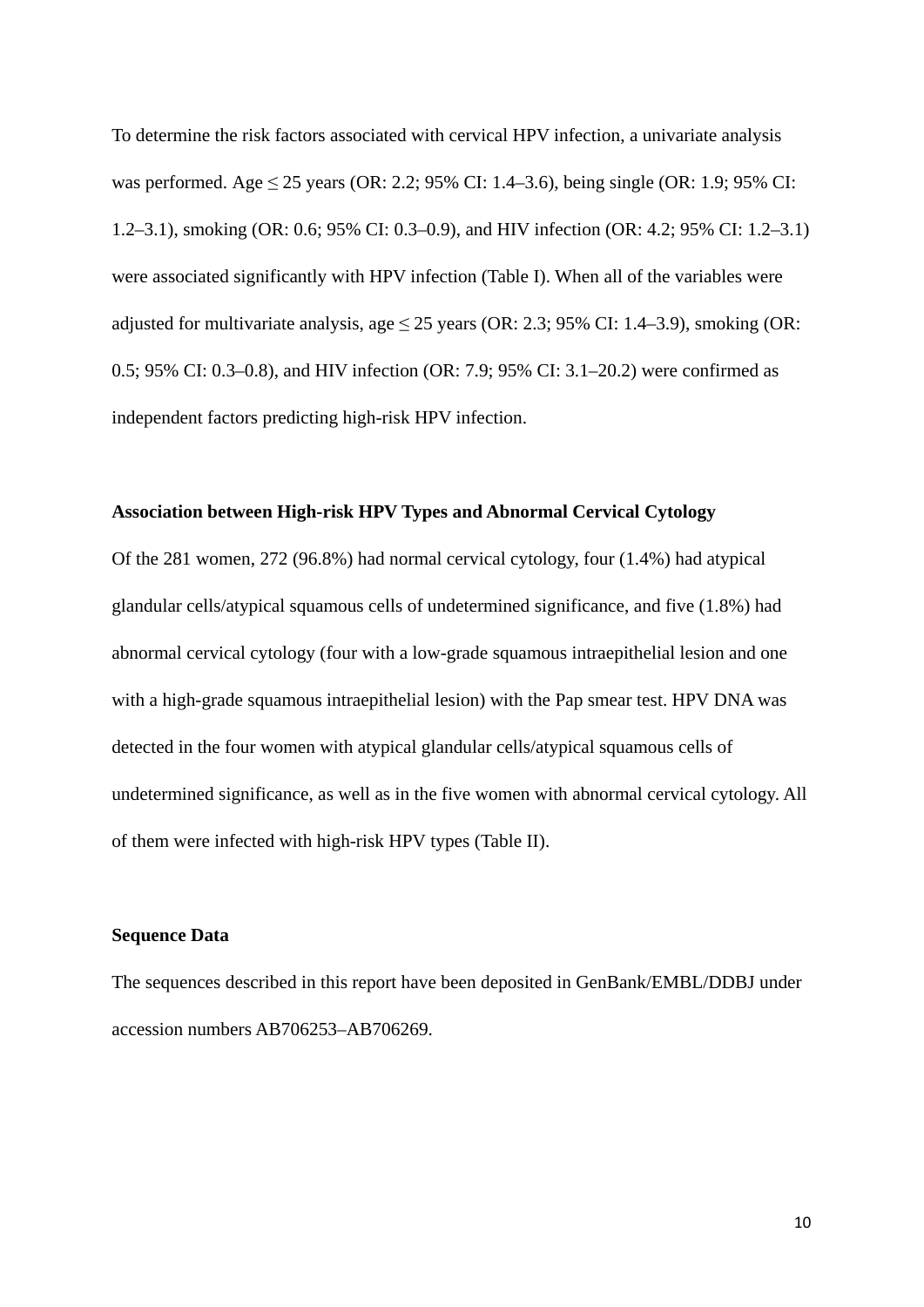To determine the risk factors associated with cervical HPV infection, a univariate analysis was performed. Age  $\leq 25$  years (OR: 2.2; 95% CI: 1.4–3.6), being single (OR: 1.9; 95% CI: 1.2–3.1), smoking (OR: 0.6; 95% CI: 0.3–0.9), and HIV infection (OR: 4.2; 95% CI: 1.2–3.1) were associated significantly with HPV infection (Table I). When all of the variables were adjusted for multivariate analysis, age  $\leq$  25 years (OR: 2.3; 95% CI: 1.4–3.9), smoking (OR: 0.5; 95% CI: 0.3–0.8), and HIV infection (OR: 7.9; 95% CI: 3.1–20.2) were confirmed as independent factors predicting high-risk HPV infection.

#### **Association between High-risk HPV Types and Abnormal Cervical Cytology**

Of the 281 women, 272 (96.8%) had normal cervical cytology, four (1.4%) had atypical glandular cells/atypical squamous cells of undetermined significance, and five (1.8%) had abnormal cervical cytology (four with a low-grade squamous intraepithelial lesion and one with a high-grade squamous intraepithelial lesion) with the Pap smear test. HPV DNA was detected in the four women with atypical glandular cells/atypical squamous cells of undetermined significance, as well as in the five women with abnormal cervical cytology. All of them were infected with high-risk HPV types (Table II).

#### **Sequence Data**

The sequences described in this report have been deposited in GenBank/EMBL/DDBJ under accession numbers AB706253–AB706269.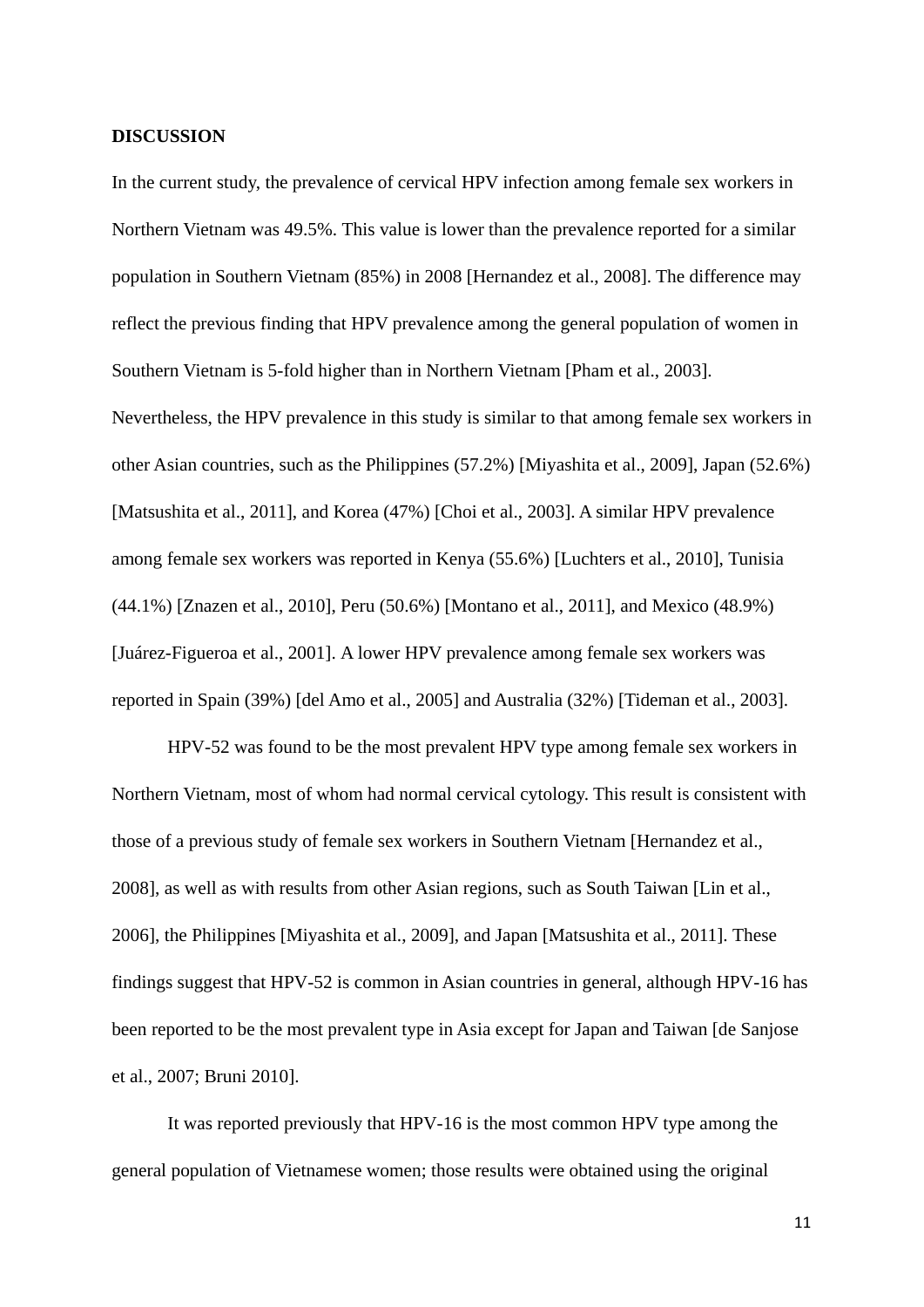#### **DISCUSSION**

In the current study, the prevalence of cervical HPV infection among female sex workers in Northern Vietnam was 49.5%. This value is lower than the prevalence reported for a similar population in Southern Vietnam (85%) in 2008 [Hernandez et al., 2008]. The difference may reflect the previous finding that HPV prevalence among the general population of women in Southern Vietnam is 5-fold higher than in Northern Vietnam [Pham et al., 2003].

Nevertheless, the HPV prevalence in this study is similar to that among female sex workers in other Asian countries, such as the Philippines (57.2%) [Miyashita et al., 2009], Japan (52.6%) [Matsushita et al., 2011], and Korea (47%) [Choi et al., 2003]. A similar HPV prevalence among female sex workers was reported in Kenya (55.6%) [Luchters et al., 2010], Tunisia (44.1%) [Znazen et al., 2010], Peru (50.6%) [Montano et al., 2011], and Mexico (48.9%) [Juárez-Figueroa et al., 2001]. A lower HPV prevalence among female sex workers was reported in Spain (39%) [del Amo et al., 2005] and Australia (32%) [Tideman et al., 2003].

HPV-52 was found to be the most prevalent HPV type among female sex workers in Northern Vietnam, most of whom had normal cervical cytology. This result is consistent with those of a previous study of female sex workers in Southern Vietnam [Hernandez et al., 2008], as well as with results from other Asian regions, such as South Taiwan [Lin et al., 2006], the Philippines [Miyashita et al., 2009], and Japan [Matsushita et al., 2011]. These findings suggest that HPV-52 is common in Asian countries in general, although HPV-16 has been reported to be the most prevalent type in Asia except for Japan and Taiwan [de Sanjose et al., 2007; Bruni 2010].

It was reported previously that HPV-16 is the most common HPV type among the general population of Vietnamese women; those results were obtained using the original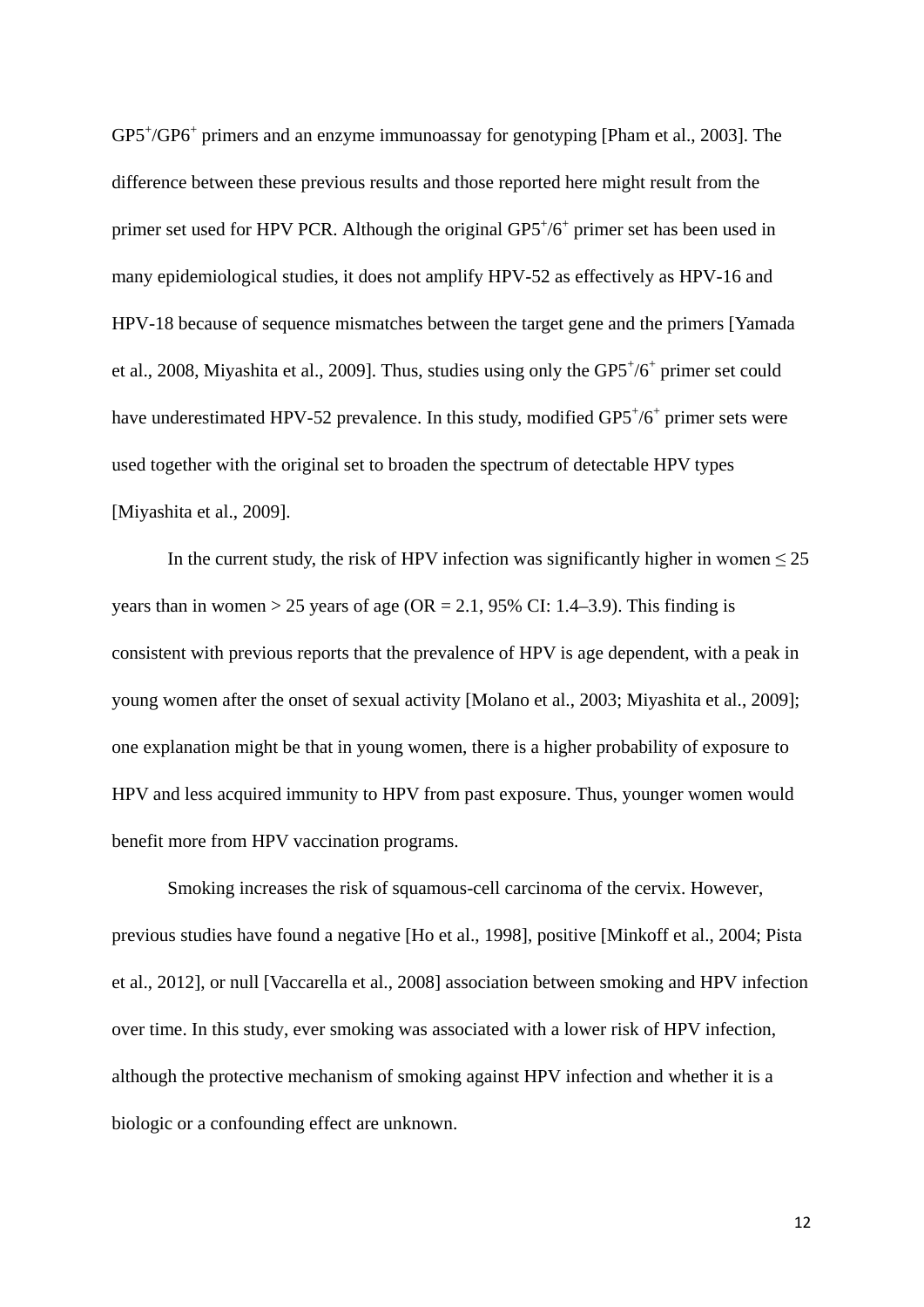GP5<sup>+</sup>/GP6<sup>+</sup> primers and an enzyme immunoassay for genotyping [Pham et al., 2003]. The difference between these previous results and those reported here might result from the primer set used for HPV PCR. Although the original  $GP5'/6^+$  primer set has been used in many epidemiological studies, it does not amplify HPV-52 as effectively as HPV-16 and HPV-18 because of sequence mismatches between the target gene and the primers [Yamada et al., 2008, Miyashita et al., 2009]. Thus, studies using only the GP5+/6+ primer set could have underestimated HPV-52 prevalence. In this study, modified GP5<sup>+</sup>/6<sup>+</sup> primer sets were used together with the original set to broaden the spectrum of detectable HPV types [Miyashita et al., 2009].

In the current study, the risk of HPV infection was significantly higher in women  $\leq 25$ years than in women  $> 25$  years of age (OR = 2.1, 95% CI: 1.4–3.9). This finding is consistent with previous reports that the prevalence of HPV is age dependent, with a peak in young women after the onset of sexual activity [Molano et al., 2003; Miyashita et al., 2009]; one explanation might be that in young women, there is a higher probability of exposure to HPV and less acquired immunity to HPV from past exposure. Thus, younger women would benefit more from HPV vaccination programs.

Smoking increases the risk of squamous-cell carcinoma of the cervix. However, previous studies have found a negative [Ho et al., 1998], positive [Minkoff et al., 2004; Pista et al., 2012], or null [Vaccarella et al., 2008] association between smoking and HPV infection over time. In this study, ever smoking was associated with a lower risk of HPV infection, although the protective mechanism of smoking against HPV infection and whether it is a biologic or a confounding effect are unknown.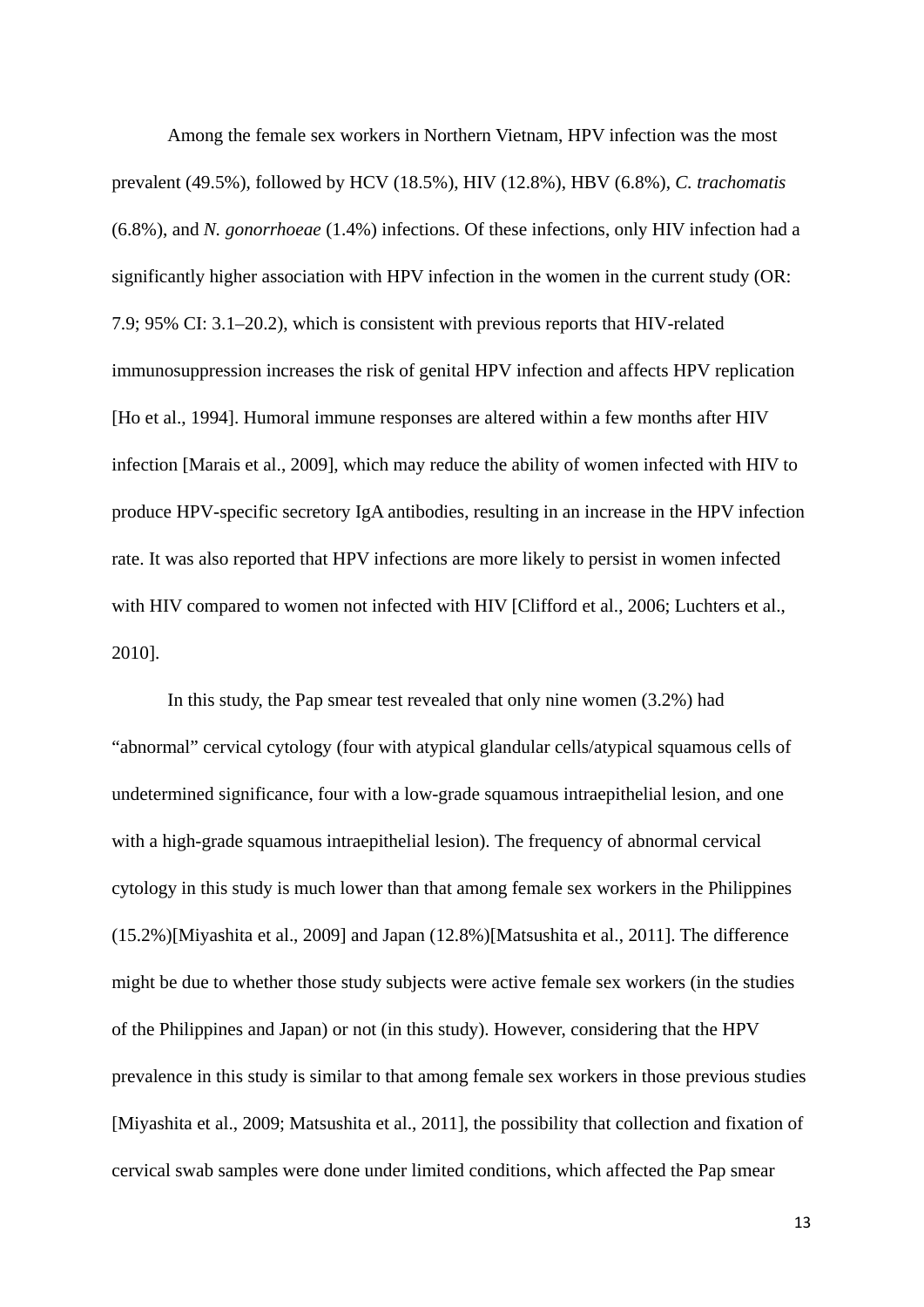Among the female sex workers in Northern Vietnam, HPV infection was the most prevalent (49.5%), followed by HCV (18.5%), HIV (12.8%), HBV (6.8%), *C. trachomatis* (6.8%), and *N. gonorrhoeae* (1.4%) infections. Of these infections, only HIV infection had a significantly higher association with HPV infection in the women in the current study (OR: 7.9; 95% CI: 3.1–20.2), which is consistent with previous reports that HIV-related immunosuppression increases the risk of genital HPV infection and affects HPV replication [\[Ho et al., 1994\]](http://www.ncbi.nlm.nih.gov/pubmed?term=Ho%20GY%5BAuthor%5D&cauthor=true&cauthor_uid=8119767). Humoral immune responses are altered within a few months after HIV infection [Marais et al., 2009], which may reduce the ability of women infected with HIV to produce HPV-specific secretory IgA antibodies, resulting in an increase in the HPV infection rate. It was also reported that HPV infections are more likely to persist in women infected with HIV compared to women not infected with HIV [Clifford et al., 2006; Luchters et al., 2010].

In this study, the Pap smear test revealed that only nine women (3.2%) had "abnormal" cervical cytology (four with atypical glandular cells/atypical squamous cells of undetermined significance, four with a low-grade squamous intraepithelial lesion, and one with a high-grade squamous intraepithelial lesion). The frequency of abnormal cervical cytology in this study is much lower than that among female sex workers in the Philippines (15.2%)[Miyashita et al., 2009] and Japan (12.8%)[Matsushita et al., 2011]. The difference might be due to whether those study subjects were active female sex workers (in the studies of the Philippines and Japan) or not (in this study). However, considering that the HPV prevalence in this study is similar to that among female sex workers in those previous studies [Miyashita et al., 2009; Matsushita et al., 2011], the possibility that collection and fixation of cervical swab samples were done under limited conditions, which affected the Pap smear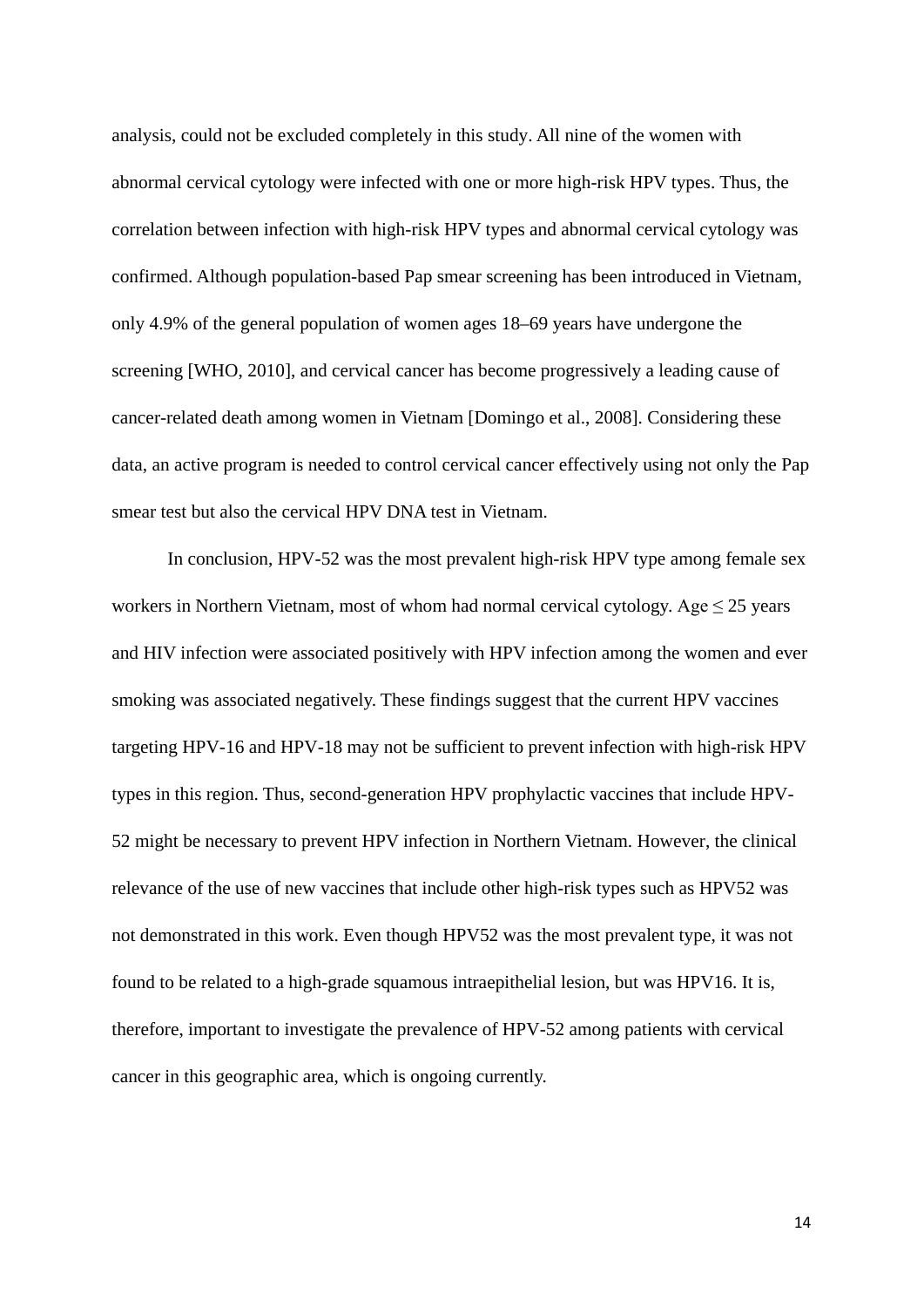analysis, could not be excluded completely in this study. All nine of the women with abnormal cervical cytology were infected with one or more high-risk HPV types. Thus, the correlation between infection with high-risk HPV types and abnormal cervical cytology was confirmed. Although population-based Pap smear screening has been introduced in Vietnam, only 4.9% of the general population of women ages 18–69 years have undergone the screening [WHO, 2010], and cervical cancer has become progressively a leading cause of cancer-related death among women in Vietnam [Domingo et al., 2008]. Considering these data, an active program is needed to control cervical cancer effectively using not only the Pap smear test but also the cervical HPV DNA test in Vietnam.

In conclusion, HPV-52 was the most prevalent high-risk HPV type among female sex workers in Northern Vietnam, most of whom had normal cervical cytology. Age  $\leq$  25 years and HIV infection were associated positively with HPV infection among the women and ever smoking was associated negatively. These findings suggest that the current HPV vaccines targeting HPV-16 and HPV-18 may not be sufficient to prevent infection with high-risk HPV types in this region. Thus, second-generation HPV prophylactic vaccines that include HPV-52 might be necessary to prevent HPV infection in Northern Vietnam. However, the clinical relevance of the use of new vaccines that include other high-risk types such as HPV52 was not demonstrated in this work. Even though HPV52 was the most prevalent type, it was not found to be related to a high-grade squamous intraepithelial lesion, but was HPV16. It is, therefore, important to investigate the prevalence of HPV-52 among patients with cervical cancer in this geographic area, which is ongoing currently.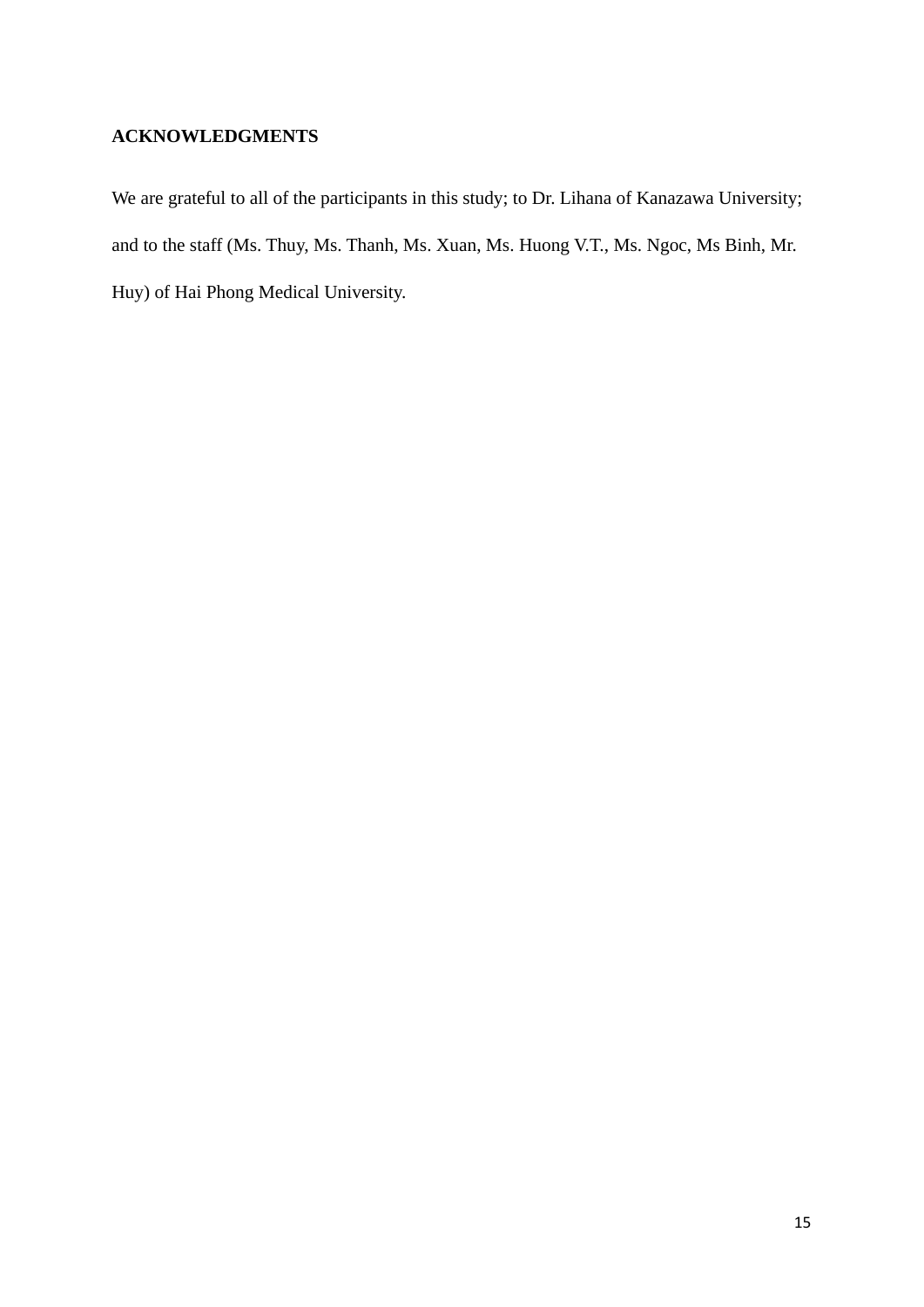# **ACKNOWLEDGMENTS**

We are grateful to all of the participants in this study; to Dr. Lihana of Kanazawa University; and to the staff (Ms. Thuy, Ms. Thanh, Ms. Xuan, Ms. Huong V.T., Ms. Ngoc, Ms Binh, Mr. Huy) of Hai Phong Medical University.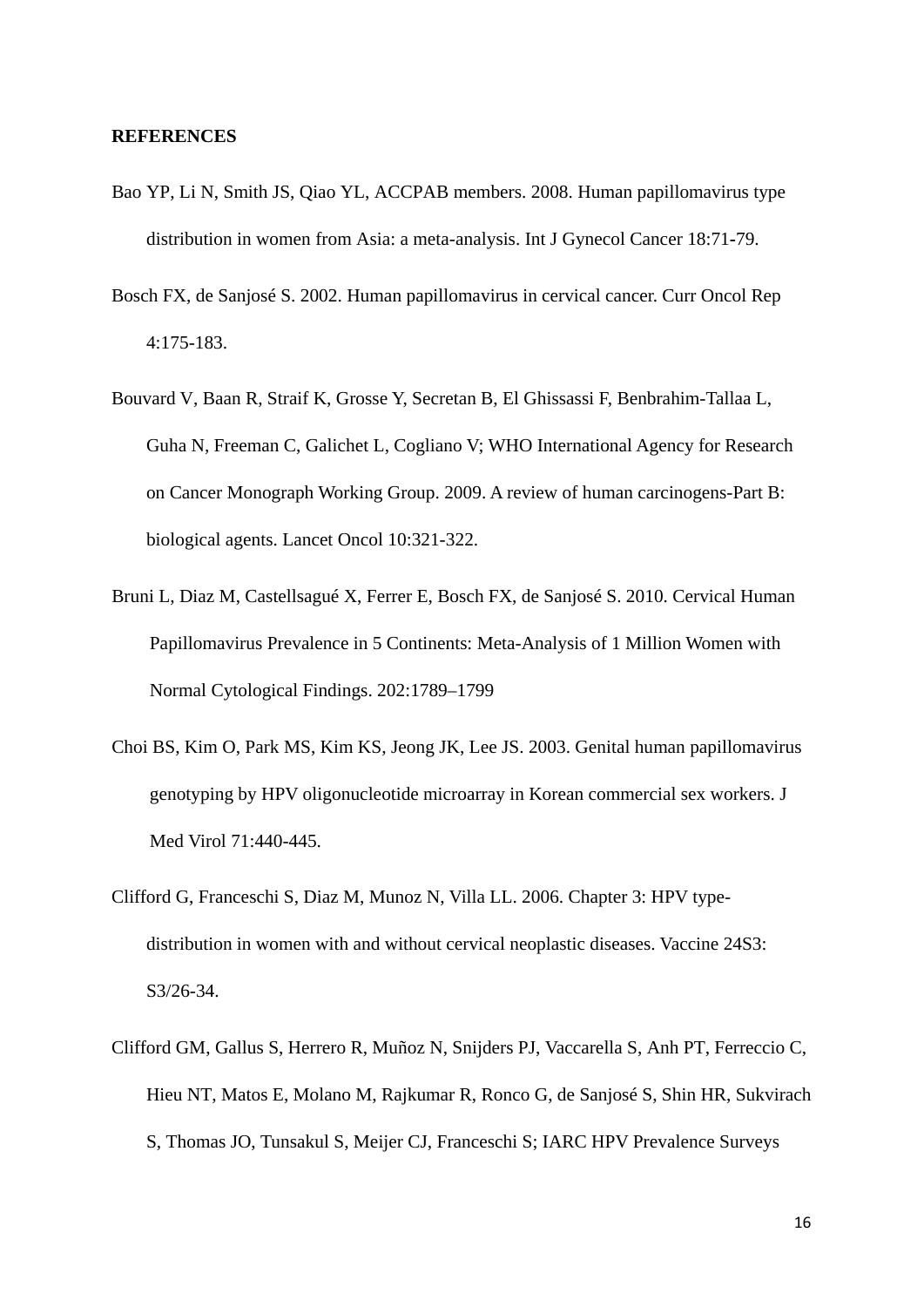#### **REFERENCES**

- Bao YP, Li N, Smith JS, Qiao YL, ACCPAB members. 2008. Human papillomavirus type distribution in women from Asia: a meta-analysis. Int J Gynecol Cancer 18:71**-**79.
- [Bosch FX,](http://www.ncbi.nlm.nih.gov/pubmed?term=%22Bosch%20FX%22%5BAuthor%5D) [de Sanjosé S.](http://www.ncbi.nlm.nih.gov/pubmed?term=%22de%20Sanjos%C3%A9%20S%22%5BAuthor%5D) 2002. Human papillomavirus in cervical cancer. [Curr Oncol](http://www.ncbi.nlm.nih.gov/pubmed/11822990) Rep 4:175-183.
- Bouvard V, Baan R, Straif K, Grosse Y, Secretan B, El Ghissassi F, Benbrahim-Tallaa L, Guha N, Freeman C, Galichet L, Cogliano V; WHO International Agency for Research on Cancer Monograph Working Group. 2009. A review of human carcinogens-Part B: biological agents. Lancet Oncol 10:321-322.
- Bruni L, Diaz M, Castellsagué X, Ferrer E, Bosch FX, de Sanjosé S. 2010. Cervical Human Papillomavirus Prevalence in 5 Continents: Meta-Analysis of 1 Million Women with Normal Cytological Findings. 202:1789–1799
- Choi BS, Kim O, Park MS, Kim KS, Jeong JK, Lee JS. 2003. Genital human papillomavirus genotyping by HPV oligonucleotide microarray in Korean commercial sex workers. J Med Virol 71:440-445.
- Clifford G, Franceschi S, Diaz M, Munoz N, Villa LL. 2006. Chapter 3: HPV typedistribution in women with and without cervical neoplastic diseases. Vaccine 24S3: S3/26-34.
- [Clifford GM,](http://www.ncbi.nlm.nih.gov/pubmed?term=%22Clifford%20GM%22%5BAuthor%5D) [Gallus S,](http://www.ncbi.nlm.nih.gov/pubmed?term=%22Gallus%20S%22%5BAuthor%5D) [Herrero R,](http://www.ncbi.nlm.nih.gov/pubmed?term=%22Herrero%20R%22%5BAuthor%5D) [Muñoz N,](http://www.ncbi.nlm.nih.gov/pubmed?term=%22Mu%C3%B1oz%20N%22%5BAuthor%5D) [Snijders PJ,](http://www.ncbi.nlm.nih.gov/pubmed?term=%22Snijders%20PJ%22%5BAuthor%5D) [Vaccarella S,](http://www.ncbi.nlm.nih.gov/pubmed?term=%22Vaccarella%20S%22%5BAuthor%5D) [Anh PT,](http://www.ncbi.nlm.nih.gov/pubmed?term=%22Anh%20PT%22%5BAuthor%5D) [Ferreccio C,](http://www.ncbi.nlm.nih.gov/pubmed?term=%22Ferreccio%20C%22%5BAuthor%5D) [Hieu NT,](http://www.ncbi.nlm.nih.gov/pubmed?term=%22Hieu%20NT%22%5BAuthor%5D) [Matos E,](http://www.ncbi.nlm.nih.gov/pubmed?term=%22Matos%20E%22%5BAuthor%5D) [Molano M,](http://www.ncbi.nlm.nih.gov/pubmed?term=%22Molano%20M%22%5BAuthor%5D) [Rajkumar R,](http://www.ncbi.nlm.nih.gov/pubmed?term=%22Rajkumar%20R%22%5BAuthor%5D) [Ronco G,](http://www.ncbi.nlm.nih.gov/pubmed?term=%22Ronco%20G%22%5BAuthor%5D) [de Sanjosé S,](http://www.ncbi.nlm.nih.gov/pubmed?term=%22de%20Sanjos%C3%A9%20S%22%5BAuthor%5D) [Shin HR,](http://www.ncbi.nlm.nih.gov/pubmed?term=%22Shin%20HR%22%5BAuthor%5D) [Sukvirach](http://www.ncbi.nlm.nih.gov/pubmed?term=%22Sukvirach%20S%22%5BAuthor%5D)  [S,](http://www.ncbi.nlm.nih.gov/pubmed?term=%22Sukvirach%20S%22%5BAuthor%5D) [Thomas JO,](http://www.ncbi.nlm.nih.gov/pubmed?term=%22Thomas%20JO%22%5BAuthor%5D) [Tunsakul S,](http://www.ncbi.nlm.nih.gov/pubmed?term=%22Tunsakul%20S%22%5BAuthor%5D) [Meijer CJ,](http://www.ncbi.nlm.nih.gov/pubmed?term=%22Meijer%20CJ%22%5BAuthor%5D) [Franceschi S;](http://www.ncbi.nlm.nih.gov/pubmed?term=%22Franceschi%20S%22%5BAuthor%5D) [IARC HPV Prevalence Surveys](http://www.ncbi.nlm.nih.gov/pubmed?term=%22IARC%20HPV%20Prevalence%20Surveys%20Study%20Group%22%5BCorporate%20Author%5D)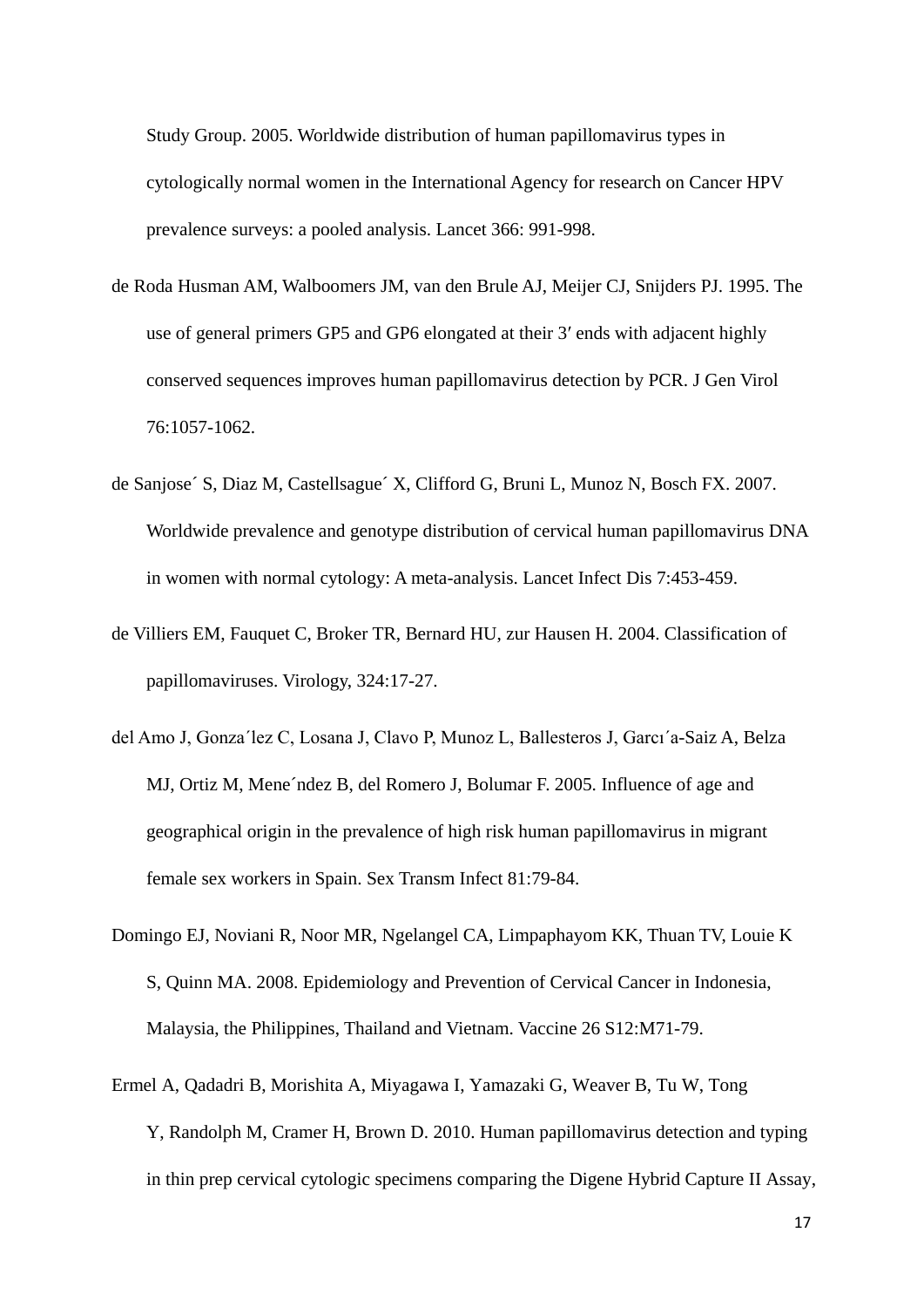[Study Group.](http://www.ncbi.nlm.nih.gov/pubmed?term=%22IARC%20HPV%20Prevalence%20Surveys%20Study%20Group%22%5BCorporate%20Author%5D) 2005. Worldwide distribution of human papillomavirus types in cytologically normal women in the International Agency for research on Cancer HPV prevalence surveys: a pooled analysis. Lancet 366: 991-998.

- de Roda Husman AM, Walboomers JM, van den Brule AJ, Meijer CJ, Snijders PJ. 1995. The use of general primers GP5 and GP6 elongated at their 3′ ends with adjacent highly conserved sequences improves human papillomavirus detection by PCR. J Gen Virol 76:1057-1062.
- de Sanjose´ S, Diaz M, Castellsague´ X, Clifford G, Bruni L, Munoz N, Bosch FX. 2007. Worldwide prevalence and genotype distribution of cervical human papillomavirus DNA in women with normal cytology: A meta-analysis. Lancet Infect Dis 7:453-459.
- [de Villiers EM,](http://www.ncbi.nlm.nih.gov/pubmed?term=%22de%20Villiers%20EM%22%5BAuthor%5D) [Fauquet C,](http://www.ncbi.nlm.nih.gov/pubmed?term=%22Fauquet%20C%22%5BAuthor%5D) [Broker TR,](http://www.ncbi.nlm.nih.gov/pubmed?term=%22Broker%20TR%22%5BAuthor%5D) [Bernard HU,](http://www.ncbi.nlm.nih.gov/pubmed?term=%22Bernard%20HU%22%5BAuthor%5D) [zur Hausen H.](http://www.ncbi.nlm.nih.gov/pubmed?term=%22zur%20Hausen%20H%22%5BAuthor%5D) 2004. Classification of papillomaviruses. Virology, 324:17-27.
- del Amo J, Gonza´lez C, Losana J, Clavo P, Munoz L, Ballesteros J, Garcı´a-Saiz A, Belza MJ, Ortiz M, Mene´ndez B, del Romero J, Bolumar F. 2005. Influence of age and geographical origin in the prevalence of high risk human papillomavirus in migrant female sex workers in Spain. Sex Transm Infect 81:79-84.
- Domingo EJ, Noviani R, Noor MR, Ngelangel CA, Limpaphayom KK, Thuan TV, Louie K S, Quinn MA. 2008. Epidemiology and Prevention of Cervical Cancer in Indonesia, Malaysia, the Philippines, Thailand and Vietnam. Vaccine 26 S12:M71-79.
- [Ermel A,](http://www.ncbi.nlm.nih.gov/pubmed?term=%22Ermel%20A%22%5BAuthor%5D) [Qadadri B,](http://www.ncbi.nlm.nih.gov/pubmed?term=%22Qadadri%20B%22%5BAuthor%5D) [Morishita A,](http://www.ncbi.nlm.nih.gov/pubmed?term=%22Morishita%20A%22%5BAuthor%5D) [Miyagawa I,](http://www.ncbi.nlm.nih.gov/pubmed?term=%22Miyagawa%20I%22%5BAuthor%5D) [Yamazaki G,](http://www.ncbi.nlm.nih.gov/pubmed?term=%22Yamazaki%20G%22%5BAuthor%5D) [Weaver B,](http://www.ncbi.nlm.nih.gov/pubmed?term=%22Weaver%20B%22%5BAuthor%5D) [Tu W,](http://www.ncbi.nlm.nih.gov/pubmed?term=%22Tu%20W%22%5BAuthor%5D) [Tong](http://www.ncbi.nlm.nih.gov/pubmed?term=%22Tong%20Y%22%5BAuthor%5D) Y, [Randolph M,](http://www.ncbi.nlm.nih.gov/pubmed?term=%22Randolph%20M%22%5BAuthor%5D) [Cramer H,](http://www.ncbi.nlm.nih.gov/pubmed?term=%22Cramer%20H%22%5BAuthor%5D) [Brown D.](http://www.ncbi.nlm.nih.gov/pubmed?term=%22Brown%20D%22%5BAuthor%5D) 2010. Human papillomavirus detection and typing in thin prep cervical cytologic specimens comparing the Digene Hybrid Capture II Assay,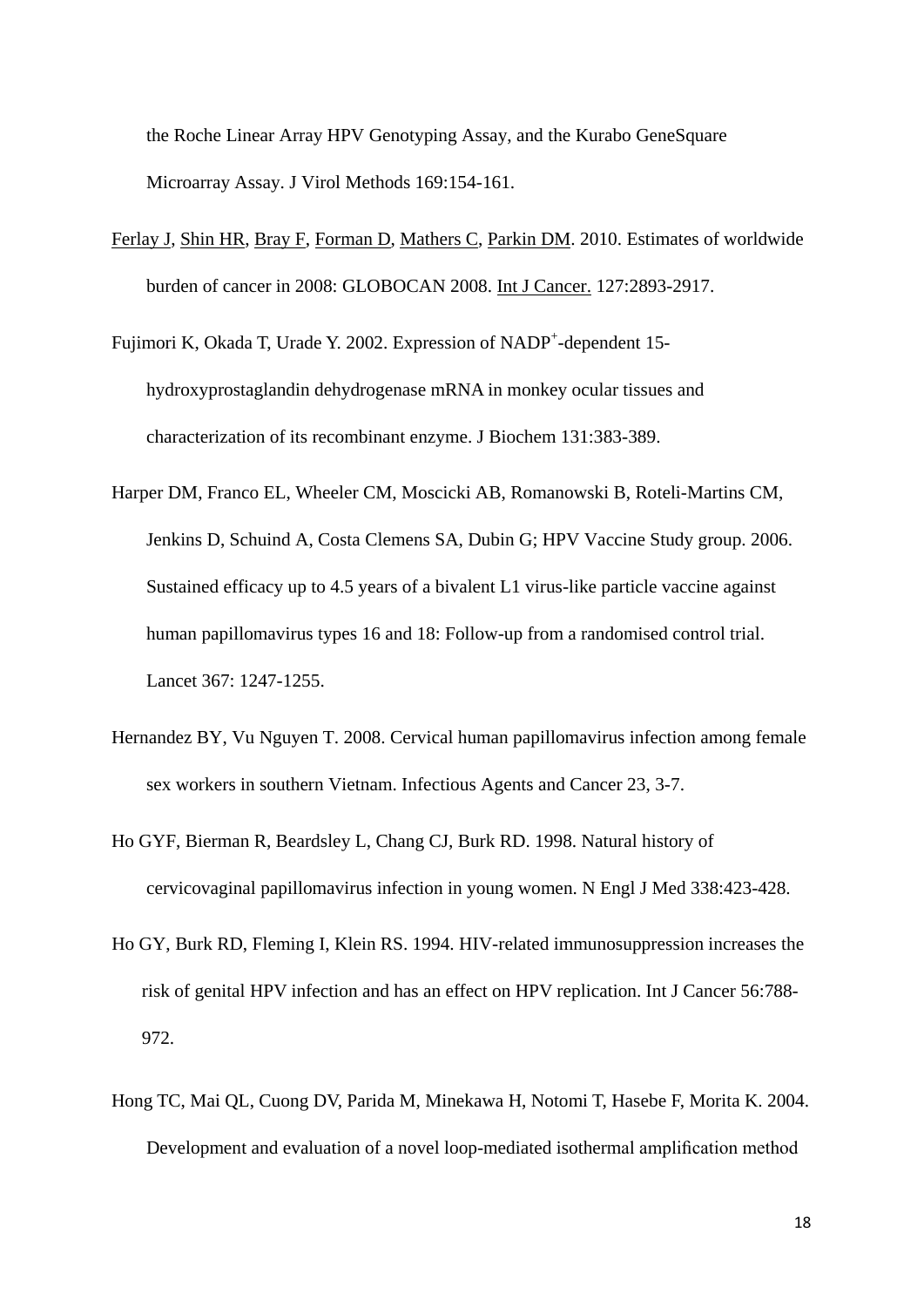the Roche Linear Array HPV Genotyping Assay, and the Kurabo GeneSquare Microarray Assay. [J Virol Methods](http://www.ncbi.nlm.nih.gov/pubmed?term=genesquare%2C%202010) 169:154-161.

[Ferlay J,](http://www.ncbi.nlm.nih.gov/pubmed?term=Ferlay%20J%5BAuthor%5D&cauthor=true&cauthor_uid=21351269) [Shin HR,](http://www.ncbi.nlm.nih.gov/pubmed?term=Shin%20HR%5BAuthor%5D&cauthor=true&cauthor_uid=21351269) [Bray F,](http://www.ncbi.nlm.nih.gov/pubmed?term=Bray%20F%5BAuthor%5D&cauthor=true&cauthor_uid=21351269) [Forman D,](http://www.ncbi.nlm.nih.gov/pubmed?term=Forman%20D%5BAuthor%5D&cauthor=true&cauthor_uid=21351269) [Mathers C,](http://www.ncbi.nlm.nih.gov/pubmed?term=Mathers%20C%5BAuthor%5D&cauthor=true&cauthor_uid=21351269) [Parkin DM.](http://www.ncbi.nlm.nih.gov/pubmed?term=Parkin%20DM%5BAuthor%5D&cauthor=true&cauthor_uid=21351269) 2010. Estimates of worldwide burden of cancer in 2008: GLOBOCAN 2008. [Int J Cancer.](http://www.ncbi.nlm.nih.gov/pubmed/21351269) 127:2893-2917.

Fujimori K, Okada T, Urade Y. 2002. Expression of NADP<sup>+</sup>-dependent 15hydroxyprostaglandin dehydrogenase mRNA in monkey ocular tissues and characterization of its recombinant enzyme. J Biochem 131:383-389.

- [Harper DM,](http://www.ncbi.nlm.nih.gov/pubmed?term=%22Harper%20DM%22%5BAuthor%5D) [Franco EL,](http://www.ncbi.nlm.nih.gov/pubmed?term=%22Franco%20EL%22%5BAuthor%5D) [Wheeler CM,](http://www.ncbi.nlm.nih.gov/pubmed?term=%22Wheeler%20CM%22%5BAuthor%5D) [Moscicki AB,](http://www.ncbi.nlm.nih.gov/pubmed?term=%22Moscicki%20AB%22%5BAuthor%5D) [Romanowski B,](http://www.ncbi.nlm.nih.gov/pubmed?term=%22Romanowski%20B%22%5BAuthor%5D) [Roteli-Martins CM,](http://www.ncbi.nlm.nih.gov/pubmed?term=%22Roteli-Martins%20CM%22%5BAuthor%5D) [Jenkins D,](http://www.ncbi.nlm.nih.gov/pubmed?term=%22Jenkins%20D%22%5BAuthor%5D) [Schuind A,](http://www.ncbi.nlm.nih.gov/pubmed?term=%22Schuind%20A%22%5BAuthor%5D) [Costa Clemens SA,](http://www.ncbi.nlm.nih.gov/pubmed?term=%22Costa%20Clemens%20SA%22%5BAuthor%5D) [Dubin G;](http://www.ncbi.nlm.nih.gov/pubmed?term=%22Dubin%20G%22%5BAuthor%5D) [HPV Vaccine Study group.](http://www.ncbi.nlm.nih.gov/pubmed?term=%22HPV%20Vaccine%20Study%20group%22%5BCorporate%20Author%5D) 2006. Sustained efficacy up to 4.5 years of a bivalent L1 virus-like particle vaccine against human papillomavirus types 16 and 18: Follow-up from a randomised control trial. Lancet 367: 1247-1255.
- Hernandez BY, Vu Nguyen T. 2008. Cervical human papillomavirus infection among female sex workers in southern Vietnam. Infectious Agents and Cancer 23, 3-7.
- Ho GYF, Bierman R, Beardsley L, Chang CJ, Burk RD. 1998. Natural history of cervicovaginal papillomavirus infection in young women. N Engl J Med 338:423-428.
- [Ho GY,](http://www.ncbi.nlm.nih.gov/pubmed?term=Ho%20GY%5BAuthor%5D&cauthor=true&cauthor_uid=8119767) [Burk RD,](http://www.ncbi.nlm.nih.gov/pubmed?term=Burk%20RD%5BAuthor%5D&cauthor=true&cauthor_uid=8119767) [Fleming I,](http://www.ncbi.nlm.nih.gov/pubmed?term=Fleming%20I%5BAuthor%5D&cauthor=true&cauthor_uid=8119767) [Klein RS.](http://www.ncbi.nlm.nih.gov/pubmed?term=Klein%20RS%5BAuthor%5D&cauthor=true&cauthor_uid=8119767) 1994. HIV-related immunosuppression increases the risk of genital HPV infection and has an effect on HPV replication. Int J Cancer 56:788- 972.
- Hong TC, Mai QL, Cuong DV, Parida M, Minekawa H, Notomi T, Hasebe F, Morita K. 2004. Development and evaluation of a novel loop-mediated isothermal amplification method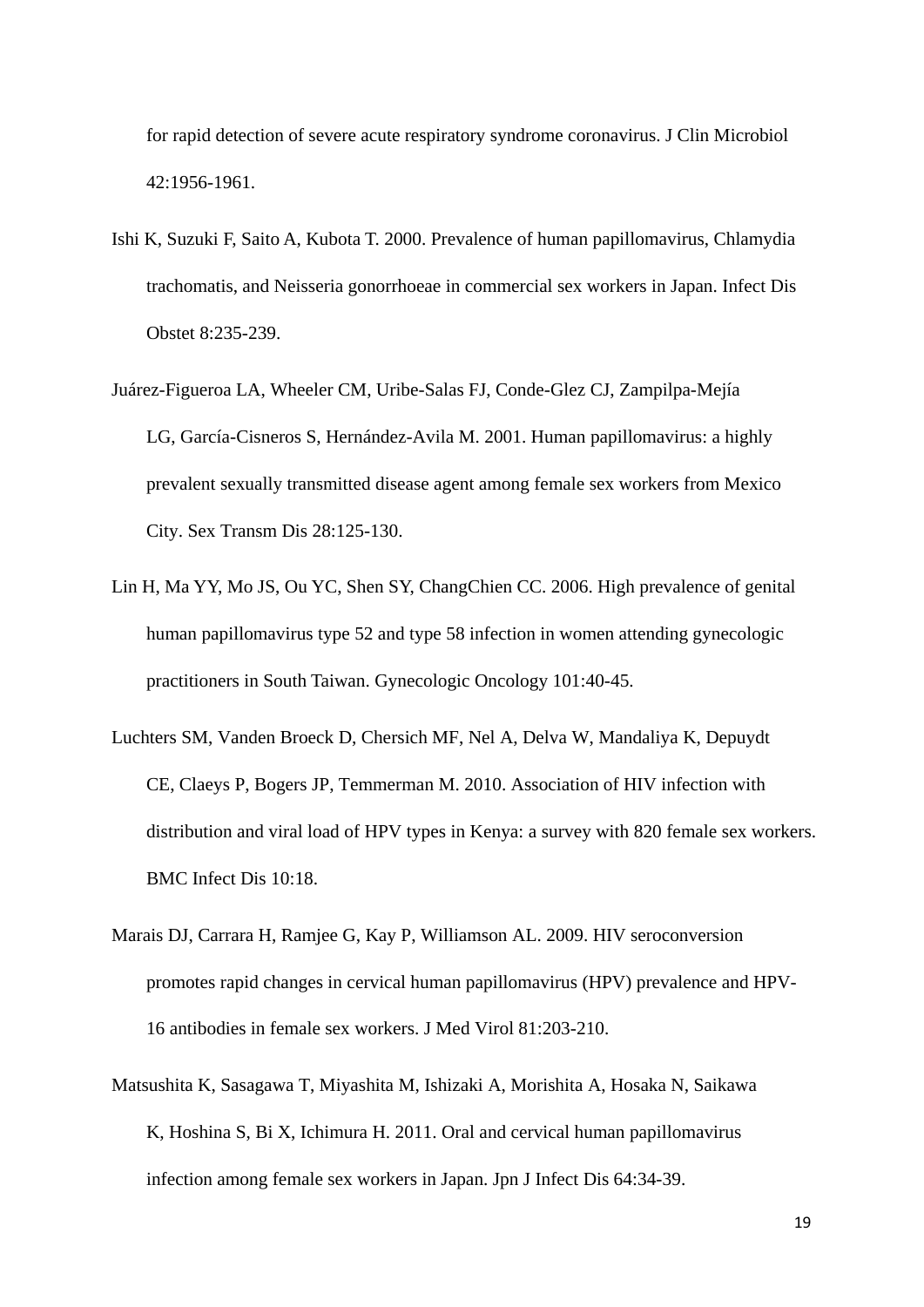for rapid detection of severe acute respiratory syndrome coronavirus. J Clin Microbiol 42:1956-1961.

- Ishi K, Suzuki F, Saito A, Kubota T. 2000. Prevalence of human papillomavirus, Chlamydia trachomatis, and Neisseria gonorrhoeae in commercial sex workers in Japan. Infect Dis Obstet 8:235-239.
- [Juárez-Figueroa LA,](http://www.ncbi.nlm.nih.gov/pubmed?term=%22Ju%C3%A1rez-Figueroa%20LA%22%5BAuthor%5D) [Wheeler CM,](http://www.ncbi.nlm.nih.gov/pubmed?term=%22Wheeler%20CM%22%5BAuthor%5D) [Uribe-Salas FJ,](http://www.ncbi.nlm.nih.gov/pubmed?term=%22Uribe-Salas%20FJ%22%5BAuthor%5D) [Conde-Glez CJ,](http://www.ncbi.nlm.nih.gov/pubmed?term=%22Conde-Glez%20CJ%22%5BAuthor%5D) [Zampilpa-Mejía](http://www.ncbi.nlm.nih.gov/pubmed?term=%22Zampilpa-Mej%C3%ADa%20LG%22%5BAuthor%5D)  [LG,](http://www.ncbi.nlm.nih.gov/pubmed?term=%22Zampilpa-Mej%C3%ADa%20LG%22%5BAuthor%5D) [García-Cisneros S,](http://www.ncbi.nlm.nih.gov/pubmed?term=%22Garc%C3%ADa-Cisneros%20S%22%5BAuthor%5D) [Hernández-Avila M.](http://www.ncbi.nlm.nih.gov/pubmed?term=%22Hern%C3%A1ndez-Avila%20M%22%5BAuthor%5D) 2001. Human papillomavirus: a highly prevalent sexually transmitted disease agent among female sex workers from Mexico City. [Sex Transm Dis](http://www.ncbi.nlm.nih.gov/pubmed?term=HPV%2C%20FSW%2C%20Mexico) 28:125-130.
- Lin H, Ma YY, Mo JS, Ou YC, Shen SY, ChangChien CC. 2006. High prevalence of genital human papillomavirus type 52 and type 58 infection in women attending gynecologic practitioners in South Taiwan. Gynecologic Oncology 101:40-45.
- [Luchters SM,](http://www.ncbi.nlm.nih.gov/pubmed?term=%22Luchters%20SM%22%5BAuthor%5D) [Vanden Broeck D,](http://www.ncbi.nlm.nih.gov/pubmed?term=%22Vanden%20Broeck%20D%22%5BAuthor%5D) [Chersich MF,](http://www.ncbi.nlm.nih.gov/pubmed?term=%22Chersich%20MF%22%5BAuthor%5D) [Nel A,](http://www.ncbi.nlm.nih.gov/pubmed?term=%22Nel%20A%22%5BAuthor%5D) [Delva W,](http://www.ncbi.nlm.nih.gov/pubmed?term=%22Delva%20W%22%5BAuthor%5D) [Mandaliya K,](http://www.ncbi.nlm.nih.gov/pubmed?term=%22Mandaliya%20K%22%5BAuthor%5D) [Depuydt](http://www.ncbi.nlm.nih.gov/pubmed?term=%22Depuydt%20CE%22%5BAuthor%5D) [CE,](http://www.ncbi.nlm.nih.gov/pubmed?term=%22Depuydt%20CE%22%5BAuthor%5D) [Claeys P,](http://www.ncbi.nlm.nih.gov/pubmed?term=%22Claeys%20P%22%5BAuthor%5D) [Bogers JP,](http://www.ncbi.nlm.nih.gov/pubmed?term=%22Bogers%20JP%22%5BAuthor%5D) [Temmerman M.](http://www.ncbi.nlm.nih.gov/pubmed?term=%22Temmerman%20M%22%5BAuthor%5D) 2010. Association of HIV infection with distribution and viral load of HPV types in Kenya: a survey with 820 female sex workers. BMC Infect Dis 10:18.
- [Marais DJ,](http://www.ncbi.nlm.nih.gov/pubmed?term=%22Marais%20DJ%22%5BAuthor%5D) [Carrara H,](http://www.ncbi.nlm.nih.gov/pubmed?term=%22Carrara%20H%22%5BAuthor%5D) [Ramjee G,](http://www.ncbi.nlm.nih.gov/pubmed?term=%22Ramjee%20G%22%5BAuthor%5D) [Kay P,](http://www.ncbi.nlm.nih.gov/pubmed?term=%22Kay%20P%22%5BAuthor%5D) [Williamson AL.](http://www.ncbi.nlm.nih.gov/pubmed?term=%22Williamson%20AL%22%5BAuthor%5D) 2009. HIV seroconversion promotes rapid changes in cervical human papillomavirus (HPV) prevalence and HPV-16 antibodies in female sex workers. [J Med Virol](http://www.ncbi.nlm.nih.gov/pubmed/19107974) 81:203-210.
- [Matsushita K,](http://www.ncbi.nlm.nih.gov/pubmed?term=%22Matsushita%20K%22%5BAuthor%5D) [Sasagawa T,](http://www.ncbi.nlm.nih.gov/pubmed?term=%22Sasagawa%20T%22%5BAuthor%5D) [Miyashita M,](http://www.ncbi.nlm.nih.gov/pubmed?term=%22Miyashita%20M%22%5BAuthor%5D) [Ishizaki A,](http://www.ncbi.nlm.nih.gov/pubmed?term=%22Ishizaki%20A%22%5BAuthor%5D) [Morishita A,](http://www.ncbi.nlm.nih.gov/pubmed?term=%22Morishita%20A%22%5BAuthor%5D) [Hosaka N,](http://www.ncbi.nlm.nih.gov/pubmed?term=%22Hosaka%20N%22%5BAuthor%5D) [Saikawa](http://www.ncbi.nlm.nih.gov/pubmed?term=%22Saikawa%20K%22%5BAuthor%5D)  [K,](http://www.ncbi.nlm.nih.gov/pubmed?term=%22Saikawa%20K%22%5BAuthor%5D) [Hoshina S,](http://www.ncbi.nlm.nih.gov/pubmed?term=%22Hoshina%20S%22%5BAuthor%5D) [Bi X,](http://www.ncbi.nlm.nih.gov/pubmed?term=%22Bi%20X%22%5BAuthor%5D) [Ichimura H.](http://www.ncbi.nlm.nih.gov/pubmed?term=%22Ichimura%20H%22%5BAuthor%5D) 2011. Oral and cervical human papillomavirus infection among female sex workers in Japan. [Jpn J Infect Dis](http://www.ncbi.nlm.nih.gov/pubmed?term=HPV%2C%20matsushita%2C%202011) 64:34-39.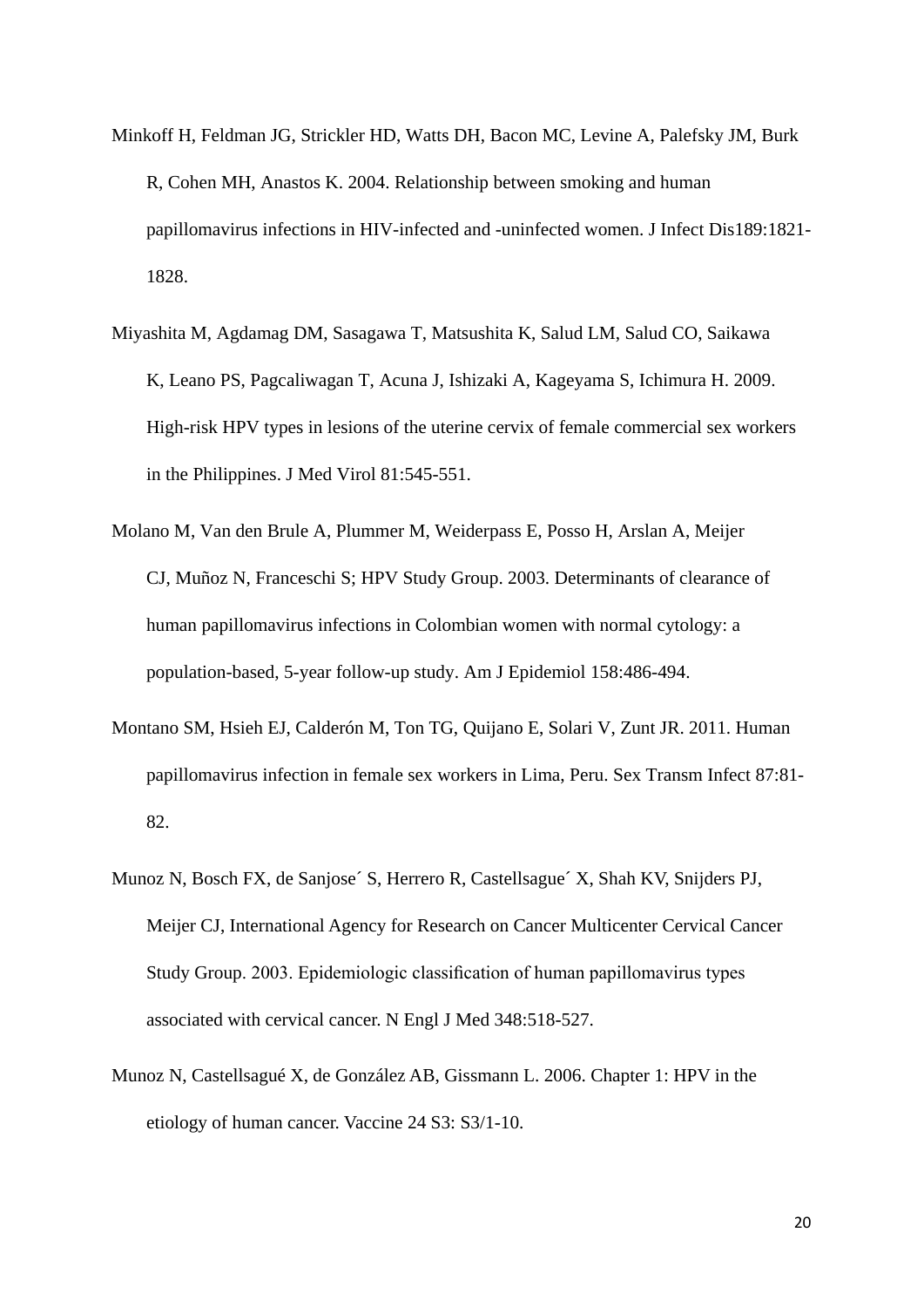- Minkoff H, Feldman JG, Strickler HD, Watts DH, Bacon MC, Levine A, Palefsky JM, Burk R, Cohen MH, Anastos K. 2004. Relationship between smoking and human papillomavirus infections in HIV-infected and -uninfected women. J Infect Dis189:1821- 1828.
- [Miyashita M,](http://www.ncbi.nlm.nih.gov/pubmed?term=%22Miyashita%20M%22%5BAuthor%5D) [Agdamag DM,](http://www.ncbi.nlm.nih.gov/pubmed?term=%22Agdamag%20DM%22%5BAuthor%5D) [Sasagawa T,](http://www.ncbi.nlm.nih.gov/pubmed?term=%22Sasagawa%20T%22%5BAuthor%5D) [Matsushita K,](http://www.ncbi.nlm.nih.gov/pubmed?term=%22Matsushita%20K%22%5BAuthor%5D) [Salud LM,](http://www.ncbi.nlm.nih.gov/pubmed?term=%22Salud%20LM%22%5BAuthor%5D) [Salud CO,](http://www.ncbi.nlm.nih.gov/pubmed?term=%22Salud%20CO%22%5BAuthor%5D) [Saikawa](http://www.ncbi.nlm.nih.gov/pubmed?term=%22Saikawa%20K%22%5BAuthor%5D)  [K,](http://www.ncbi.nlm.nih.gov/pubmed?term=%22Saikawa%20K%22%5BAuthor%5D) [Leano PS,](http://www.ncbi.nlm.nih.gov/pubmed?term=%22Leano%20PS%22%5BAuthor%5D) [Pagcaliwagan T,](http://www.ncbi.nlm.nih.gov/pubmed?term=%22Pagcaliwagan%20T%22%5BAuthor%5D) [Acuna J,](http://www.ncbi.nlm.nih.gov/pubmed?term=%22Acuna%20J%22%5BAuthor%5D) [Ishizaki A,](http://www.ncbi.nlm.nih.gov/pubmed?term=%22Ishizaki%20A%22%5BAuthor%5D) [Kageyama S,](http://www.ncbi.nlm.nih.gov/pubmed?term=%22Kageyama%20S%22%5BAuthor%5D) [Ichimura H.](http://www.ncbi.nlm.nih.gov/pubmed?term=%22Ichimura%20H%22%5BAuthor%5D) 2009. High-risk HPV types in lesions of the uterine cervix of female commercial sex workers in the Philippines. [J Med Virol](http://www.ncbi.nlm.nih.gov/pubmed/19152419) 81:545-551.
- [Molano M,](http://www.ncbi.nlm.nih.gov/pubmed?term=%22Molano%20M%22%5BAuthor%5D) [Van den Brule A,](http://www.ncbi.nlm.nih.gov/pubmed?term=%22Van%20den%20Brule%20A%22%5BAuthor%5D) [Plummer M,](http://www.ncbi.nlm.nih.gov/pubmed?term=%22Plummer%20M%22%5BAuthor%5D) [Weiderpass E,](http://www.ncbi.nlm.nih.gov/pubmed?term=%22Weiderpass%20E%22%5BAuthor%5D) [Posso H,](http://www.ncbi.nlm.nih.gov/pubmed?term=%22Posso%20H%22%5BAuthor%5D) [Arslan A,](http://www.ncbi.nlm.nih.gov/pubmed?term=%22Arslan%20A%22%5BAuthor%5D) [Meijer](http://www.ncbi.nlm.nih.gov/pubmed?term=%22Meijer%20CJ%22%5BAuthor%5D)  [CJ,](http://www.ncbi.nlm.nih.gov/pubmed?term=%22Meijer%20CJ%22%5BAuthor%5D) [Muñoz N,](http://www.ncbi.nlm.nih.gov/pubmed?term=%22Mu%C3%B1oz%20N%22%5BAuthor%5D) [Franceschi S;](http://www.ncbi.nlm.nih.gov/pubmed?term=%22Franceschi%20S%22%5BAuthor%5D) [HPV Study Group.](http://www.ncbi.nlm.nih.gov/pubmed?term=%22HPV%20Study%20Group%22%5BCorporate%20Author%5D) 2003. Determinants of clearance of human papillomavirus infections in Colombian women with normal cytology: a population-based, 5-year follow-up study. [Am J Epidemiol](http://www.ncbi.nlm.nih.gov/pubmed?term=Monica%20MOlano%2C%202003) 158:486-494.
- [Montano SM,](http://www.ncbi.nlm.nih.gov/pubmed?term=%22Montano%20SM%22%5BAuthor%5D) [Hsieh EJ,](http://www.ncbi.nlm.nih.gov/pubmed?term=%22Hsieh%20EJ%22%5BAuthor%5D) [Calderón M,](http://www.ncbi.nlm.nih.gov/pubmed?term=%22Calder%C3%B3n%20M%22%5BAuthor%5D) [Ton TG,](http://www.ncbi.nlm.nih.gov/pubmed?term=%22Ton%20TG%22%5BAuthor%5D) [Quijano E,](http://www.ncbi.nlm.nih.gov/pubmed?term=%22Quijano%20E%22%5BAuthor%5D) [Solari V,](http://www.ncbi.nlm.nih.gov/pubmed?term=%22Solari%20V%22%5BAuthor%5D) [Zunt JR.](http://www.ncbi.nlm.nih.gov/pubmed?term=%22Zunt%20JR%22%5BAuthor%5D) 2011. Human papillomavirus infection in female sex workers in Lima, Peru. [Sex Transm Infect](http://www.ncbi.nlm.nih.gov/pubmed?term=HPV%2C%20FSW%2C%20peru) 87:81- 82.
- Munoz N, Bosch FX, de Sanjose´ S, Herrero R, Castellsague´ X, Shah KV, Snijders PJ, Meijer CJ, [International Agency for Research on Cancer Multicenter Cervical Cancer](http://www.ncbi.nlm.nih.gov/pubmed?term=%22International%20Agency%20for%20Research%20on%20Cancer%20Multicenter%20Cervical%20Cancer%20Study%20Group%22%5BCorporate%20Author%5D)  [Study Group](http://www.ncbi.nlm.nih.gov/pubmed?term=%22International%20Agency%20for%20Research%20on%20Cancer%20Multicenter%20Cervical%20Cancer%20Study%20Group%22%5BCorporate%20Author%5D). 2003. Epidemiologic classification of human papillomavirus types associated with cervical cancer. N Engl J Med 348:518-527.
- Munoz N, Castellsagué X, de González AB, Gissmann L. 2006. Chapter 1: HPV in the etiology of human cancer. Vaccine 24 S3: S3/1-10.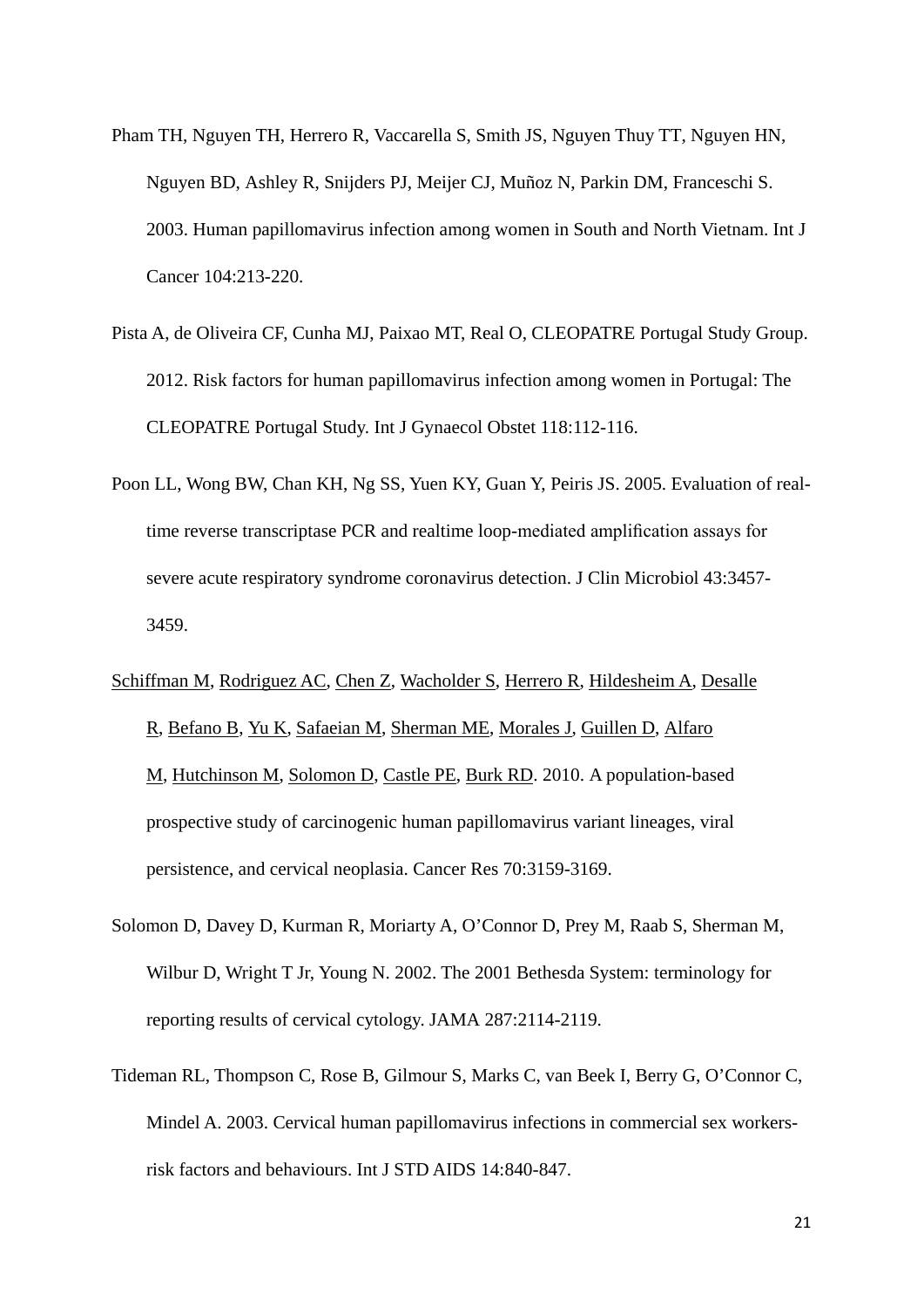- [Pham TH,](http://www.ncbi.nlm.nih.gov/pubmed?term=%22Pham%20TH%22%5BAuthor%5D) [Nguyen TH,](http://www.ncbi.nlm.nih.gov/pubmed?term=%22Nguyen%20TH%22%5BAuthor%5D) [Herrero R,](http://www.ncbi.nlm.nih.gov/pubmed?term=%22Herrero%20R%22%5BAuthor%5D) [Vaccarella S,](http://www.ncbi.nlm.nih.gov/pubmed?term=%22Vaccarella%20S%22%5BAuthor%5D) [Smith JS,](http://www.ncbi.nlm.nih.gov/pubmed?term=%22Smith%20JS%22%5BAuthor%5D) [Nguyen Thuy TT,](http://www.ncbi.nlm.nih.gov/pubmed?term=%22Nguyen%20Thuy%20TT%22%5BAuthor%5D) [Nguyen HN,](http://www.ncbi.nlm.nih.gov/pubmed?term=%22Nguyen%20HN%22%5BAuthor%5D) [Nguyen BD,](http://www.ncbi.nlm.nih.gov/pubmed?term=%22Nguyen%20BD%22%5BAuthor%5D) [Ashley R,](http://www.ncbi.nlm.nih.gov/pubmed?term=%22Ashley%20R%22%5BAuthor%5D) [Snijders PJ,](http://www.ncbi.nlm.nih.gov/pubmed?term=%22Snijders%20PJ%22%5BAuthor%5D) [Meijer CJ,](http://www.ncbi.nlm.nih.gov/pubmed?term=%22Meijer%20CJ%22%5BAuthor%5D) [Muñoz N,](http://www.ncbi.nlm.nih.gov/pubmed?term=%22Mu%C3%B1oz%20N%22%5BAuthor%5D) [Parkin DM,](http://www.ncbi.nlm.nih.gov/pubmed?term=%22Parkin%20DM%22%5BAuthor%5D) [Franceschi S.](http://www.ncbi.nlm.nih.gov/pubmed?term=%22Franceschi%20S%22%5BAuthor%5D) 2003. Human papillomavirus infection among women in South and North Vietnam. Int J Cancer 104:213-220.
- Pista A, de Oliveira CF, Cunha MJ, Paixao MT, Real O, CLEOPATRE Portugal Study Group. 2012. Risk factors for human papillomavirus infection among women in Portugal: The CLEOPATRE Portugal Study. Int J Gynaecol Obstet 118:112-116.
- Poon LL, Wong BW, Chan KH, Ng SS, Yuen KY, Guan Y, Peiris JS. 2005. Evaluation of realtime reverse transcriptase PCR and realtime loop-mediated amplification assays for severe acute respiratory syndrome coronavirus detection. J Clin Microbiol 43:3457- 3459.
- [Schiffman M,](http://www.ncbi.nlm.nih.gov/pubmed?term=Schiffman%20M%5BAuthor%5D&cauthor=true&cauthor_uid=20354192) [Rodriguez AC,](http://www.ncbi.nlm.nih.gov/pubmed?term=Rodriguez%20AC%5BAuthor%5D&cauthor=true&cauthor_uid=20354192) [Chen Z,](http://www.ncbi.nlm.nih.gov/pubmed?term=Chen%20Z%5BAuthor%5D&cauthor=true&cauthor_uid=20354192) [Wacholder S,](http://www.ncbi.nlm.nih.gov/pubmed?term=Wacholder%20S%5BAuthor%5D&cauthor=true&cauthor_uid=20354192) [Herrero R,](http://www.ncbi.nlm.nih.gov/pubmed?term=Herrero%20R%5BAuthor%5D&cauthor=true&cauthor_uid=20354192) [Hildesheim A,](http://www.ncbi.nlm.nih.gov/pubmed?term=Hildesheim%20A%5BAuthor%5D&cauthor=true&cauthor_uid=20354192) [Desalle](http://www.ncbi.nlm.nih.gov/pubmed?term=Desalle%20R%5BAuthor%5D&cauthor=true&cauthor_uid=20354192)  [R,](http://www.ncbi.nlm.nih.gov/pubmed?term=Desalle%20R%5BAuthor%5D&cauthor=true&cauthor_uid=20354192) [Befano B,](http://www.ncbi.nlm.nih.gov/pubmed?term=Befano%20B%5BAuthor%5D&cauthor=true&cauthor_uid=20354192) [Yu K,](http://www.ncbi.nlm.nih.gov/pubmed?term=Yu%20K%5BAuthor%5D&cauthor=true&cauthor_uid=20354192) [Safaeian M,](http://www.ncbi.nlm.nih.gov/pubmed?term=Safaeian%20M%5BAuthor%5D&cauthor=true&cauthor_uid=20354192) [Sherman ME,](http://www.ncbi.nlm.nih.gov/pubmed?term=Sherman%20ME%5BAuthor%5D&cauthor=true&cauthor_uid=20354192) [Morales J,](http://www.ncbi.nlm.nih.gov/pubmed?term=Morales%20J%5BAuthor%5D&cauthor=true&cauthor_uid=20354192) [Guillen D,](http://www.ncbi.nlm.nih.gov/pubmed?term=Guillen%20D%5BAuthor%5D&cauthor=true&cauthor_uid=20354192) [Alfaro](http://www.ncbi.nlm.nih.gov/pubmed?term=Alfaro%20M%5BAuthor%5D&cauthor=true&cauthor_uid=20354192)  [M,](http://www.ncbi.nlm.nih.gov/pubmed?term=Alfaro%20M%5BAuthor%5D&cauthor=true&cauthor_uid=20354192) [Hutchinson M,](http://www.ncbi.nlm.nih.gov/pubmed?term=Hutchinson%20M%5BAuthor%5D&cauthor=true&cauthor_uid=20354192) [Solomon D,](http://www.ncbi.nlm.nih.gov/pubmed?term=Solomon%20D%5BAuthor%5D&cauthor=true&cauthor_uid=20354192) [Castle PE,](http://www.ncbi.nlm.nih.gov/pubmed?term=Castle%20PE%5BAuthor%5D&cauthor=true&cauthor_uid=20354192) [Burk RD.](http://www.ncbi.nlm.nih.gov/pubmed?term=Burk%20RD%5BAuthor%5D&cauthor=true&cauthor_uid=20354192) 2010. A population-based prospective study of carcinogenic human papillomavirus variant lineages, viral persistence, and cervical neoplasia. Cancer Res 70:3159-3169.
- Solomon D, Davey D, Kurman R, Moriarty A, O'Connor D, Prey M, Raab S, Sherman M, Wilbur D, Wright T Jr, Young N. 2002. The 2001 Bethesda System: terminology for reporting results of cervical cytology. JAMA 287:2114-2119.
- Tideman RL, Thompson C, Rose B, Gilmour S, Marks C, van Beek I, Berry G, O'Connor C, Mindel A. 2003. Cervical human papillomavirus infections in commercial sex workersrisk factors and behaviours. Int J STD AIDS 14:840-847.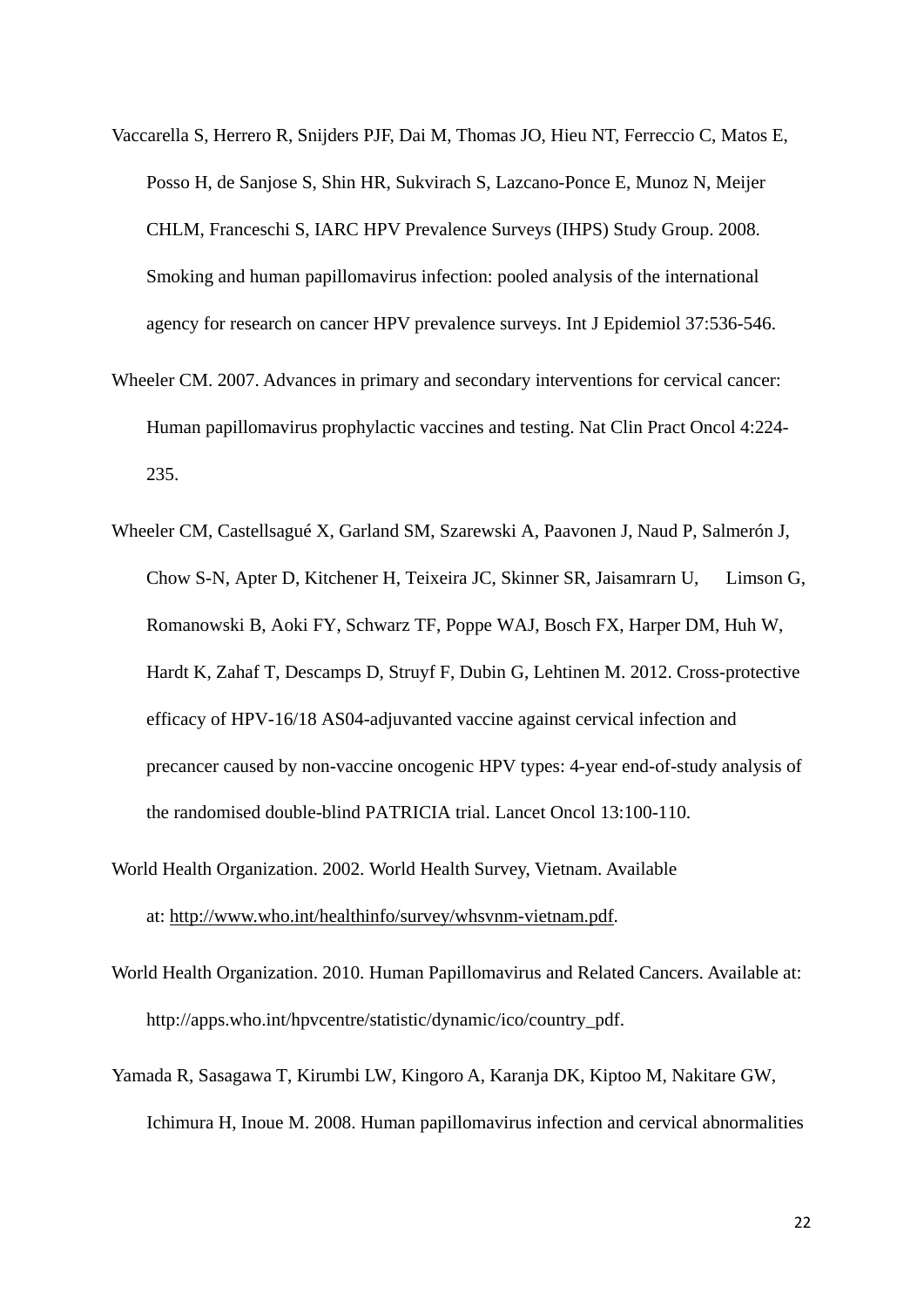- Vaccarella S, Herrero R, Snijders PJF, Dai M, Thomas JO, Hieu NT, Ferreccio C, Matos E, Posso H, de Sanjose S, Shin HR, Sukvirach S, Lazcano-Ponce E, Munoz N, Meijer CHLM, Franceschi S, IARC HPV Prevalence Surveys (IHPS) Study Group. 2008. Smoking and human papillomavirus infection: pooled analysis of the international agency for research on cancer HPV prevalence surveys. Int J Epidemiol 37:536-546.
- Wheeler CM. 2007. Advances in primary and secondary interventions for cervical cancer: Human papillomavirus prophylactic vaccines and testing. Nat Clin Pract Oncol 4:224- 235.
- Wheeler CM, Castellsagué X, Garland SM, Szarewski A, Paavonen J, Naud P, Salmerón J, Chow S-N, Apter D, Kitchener H, Teixeira JC, Skinner SR, Jaisamrarn U, Limson G, Romanowski B, Aoki FY, Schwarz TF, Poppe WAJ, Bosch FX, Harper DM, Huh W, Hardt K, Zahaf T, Descamps D, Struyf F, Dubin G, Lehtinen M. 2012. Cross-protective efficacy of HPV-16/18 AS04-adjuvanted vaccine against cervical infection and precancer caused by non-vaccine oncogenic HPV types: 4-year end-of-study analysis of the randomised double-blind PATRICIA trial. Lancet Oncol 13:100-110.
- World Health Organization. 2002. World Health Survey, Vietnam. Available at: [http://www.who.int/healthinfo/survey/whsvnm-vietnam.pdf.](http://www.who.int/healthinfo/survey/whsvnm-vietnam.pdf)
- World Health Organization. 2010. Human Papillomavirus and Related Cancers. Available at: [http://apps.who.int/hpvcentre/statistic/dynamic/ico/country\\_pdf.](http://apps.who.int/hpvcentre/statistic/dynamic/ico/country_pdf)
- [Yamada R,](http://www.ncbi.nlm.nih.gov/pubmed?term=%22Yamada%20R%22%5BAuthor%5D) [Sasagawa T,](http://www.ncbi.nlm.nih.gov/pubmed?term=%22Sasagawa%20T%22%5BAuthor%5D) [Kirumbi LW,](http://www.ncbi.nlm.nih.gov/pubmed?term=%22Kirumbi%20LW%22%5BAuthor%5D) [Kingoro A,](http://www.ncbi.nlm.nih.gov/pubmed?term=%22Kingoro%20A%22%5BAuthor%5D) [Karanja DK,](http://www.ncbi.nlm.nih.gov/pubmed?term=%22Karanja%20DK%22%5BAuthor%5D) [Kiptoo M,](http://www.ncbi.nlm.nih.gov/pubmed?term=%22Kiptoo%20M%22%5BAuthor%5D) [Nakitare GW,](http://www.ncbi.nlm.nih.gov/pubmed?term=%22Nakitare%20GW%22%5BAuthor%5D) [Ichimura H,](http://www.ncbi.nlm.nih.gov/pubmed?term=%22Ichimura%20H%22%5BAuthor%5D) [Inoue M.](http://www.ncbi.nlm.nih.gov/pubmed?term=%22Inoue%20M%22%5BAuthor%5D) 2008. Human papillomavirus infection and cervical abnormalities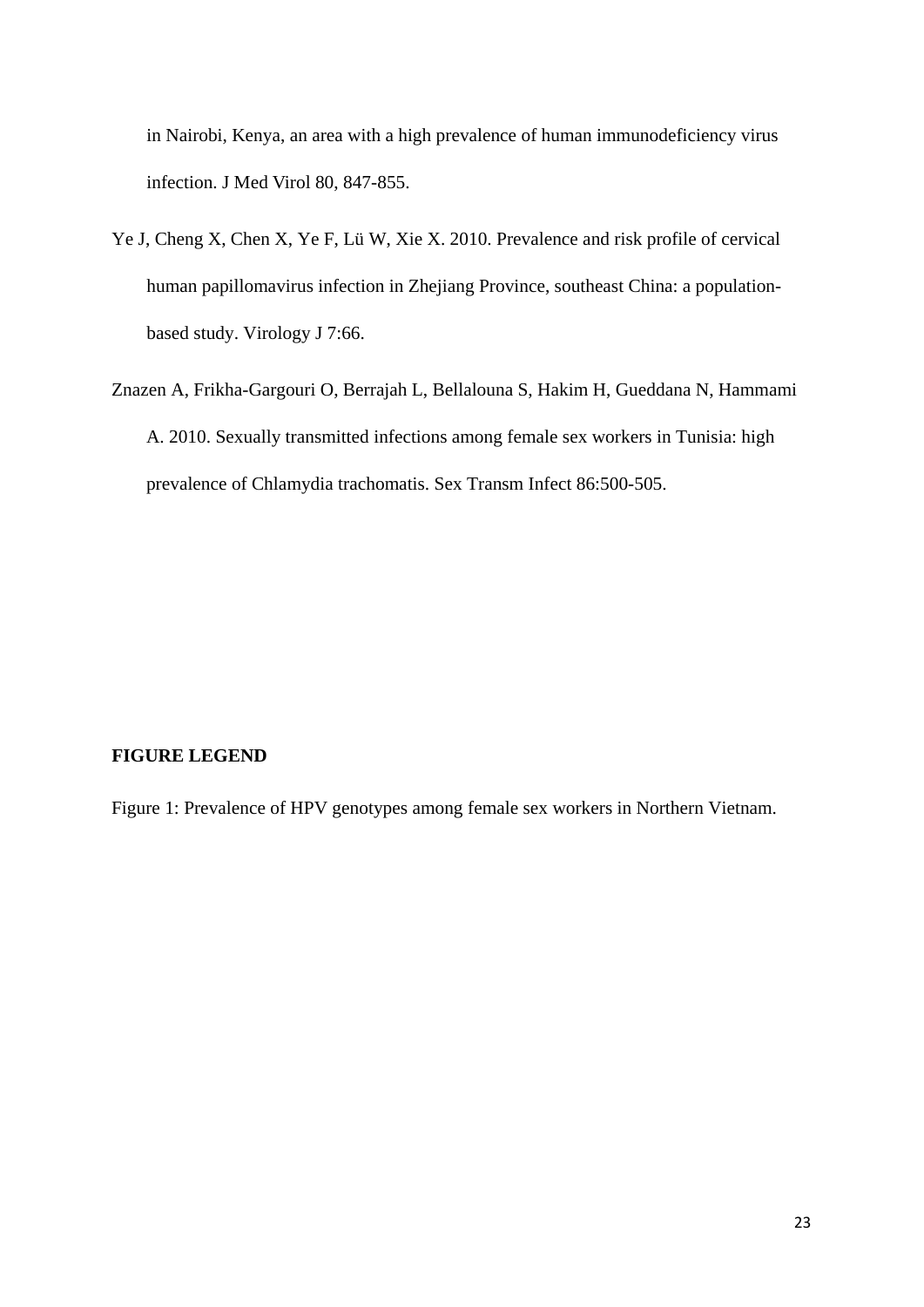in Nairobi, Kenya, an area with a high prevalence of human immunodeficiency virus infection. J Med Virol 80, 847-855.

- Ye J, Cheng X, Chen X, Ye F, Lü W, Xie X. 2010. Prevalence and risk profile of cervical human papillomavirus infection in Zhejiang Province, southeast China: a populationbased study. Virology J 7:66.
- [Znazen A,](http://www.ncbi.nlm.nih.gov/pubmed?term=%22Znazen%20A%22%5BAuthor%5D) [Frikha-Gargouri O,](http://www.ncbi.nlm.nih.gov/pubmed?term=%22Frikha-Gargouri%20O%22%5BAuthor%5D) [Berrajah L,](http://www.ncbi.nlm.nih.gov/pubmed?term=%22Berrajah%20L%22%5BAuthor%5D) [Bellalouna S,](http://www.ncbi.nlm.nih.gov/pubmed?term=%22Bellalouna%20S%22%5BAuthor%5D) [Hakim H,](http://www.ncbi.nlm.nih.gov/pubmed?term=%22Hakim%20H%22%5BAuthor%5D) [Gueddana N,](http://www.ncbi.nlm.nih.gov/pubmed?term=%22Gueddana%20N%22%5BAuthor%5D) [Hammami](http://www.ncbi.nlm.nih.gov/pubmed?term=%22Hammami%20A%22%5BAuthor%5D)  [A.](http://www.ncbi.nlm.nih.gov/pubmed?term=%22Hammami%20A%22%5BAuthor%5D) 2010. Sexually transmitted infections among female sex workers in Tunisia: high prevalence of Chlamydia trachomatis. Sex Transm Infect 86:500-505.

## **FIGURE LEGEND**

Figure 1: Prevalence of HPV genotypes among female sex workers in Northern Vietnam.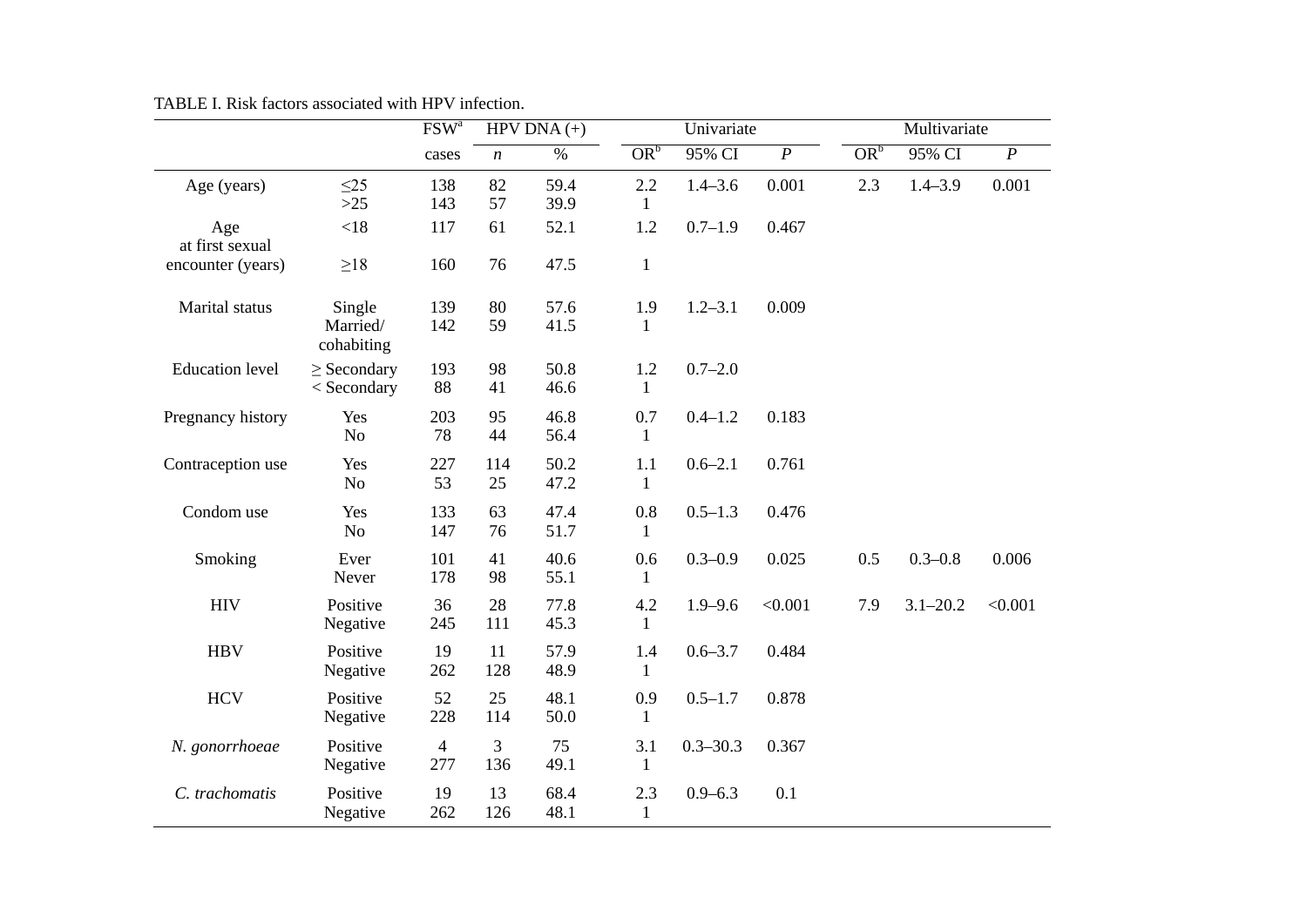|                        |                                  | $FSW^a$               | HPV DNA $(+)$    |              | Univariate          |              |                | Multivariate    |              |                  |
|------------------------|----------------------------------|-----------------------|------------------|--------------|---------------------|--------------|----------------|-----------------|--------------|------------------|
|                        |                                  | cases                 | $\boldsymbol{n}$ | $\%$         | OR <sup>b</sup>     | 95% CI       | $\overline{P}$ | OR <sup>b</sup> | 95% CI       | $\boldsymbol{P}$ |
| Age (years)            | $\leq$ 25<br>$>25$               | 138<br>143            | 82<br>57         | 59.4<br>39.9 | 2.2<br>1            | $1.4 - 3.6$  | 0.001          | 2.3             | $1.4 - 3.9$  | 0.001            |
| Age<br>at first sexual | $<18$                            | 117                   | 61               | 52.1         | 1.2                 | $0.7 - 1.9$  | 0.467          |                 |              |                  |
| encounter (years)      | $\geq$ 18                        | 160                   | 76               | 47.5         | $\mathbf{1}$        |              |                |                 |              |                  |
| Marital status         | Single<br>Married/<br>cohabiting | 139<br>142            | 80<br>59         | 57.6<br>41.5 | 1.9<br>1            | $1.2 - 3.1$  | 0.009          |                 |              |                  |
| <b>Education</b> level | $\ge$ Secondary<br>$<$ Secondary | 193<br>88             | 98<br>41         | 50.8<br>46.6 | 1.2<br>1            | $0.7 - 2.0$  |                |                 |              |                  |
| Pregnancy history      | Yes<br>N <sub>o</sub>            | 203<br>78             | 95<br>44         | 46.8<br>56.4 | 0.7<br>$\mathbf{1}$ | $0.4 - 1.2$  | 0.183          |                 |              |                  |
| Contraception use      | Yes<br>No                        | 227<br>53             | 114<br>25        | 50.2<br>47.2 | 1.1<br>1            | $0.6 - 2.1$  | 0.761          |                 |              |                  |
| Condom use             | Yes<br>No                        | 133<br>147            | 63<br>76         | 47.4<br>51.7 | 0.8<br>1            | $0.5 - 1.3$  | 0.476          |                 |              |                  |
| Smoking                | Ever<br>Never                    | 101<br>178            | 41<br>98         | 40.6<br>55.1 | 0.6<br>1            | $0.3 - 0.9$  | 0.025          | 0.5             | $0.3 - 0.8$  | 0.006            |
| <b>HIV</b>             | Positive<br>Negative             | 36<br>245             | 28<br>111        | 77.8<br>45.3 | 4.2<br>1            | $1.9 - 9.6$  | < 0.001        | 7.9             | $3.1 - 20.2$ | < 0.001          |
| <b>HBV</b>             | Positive<br>Negative             | 19<br>262             | 11<br>128        | 57.9<br>48.9 | 1.4<br>1            | $0.6 - 3.7$  | 0.484          |                 |              |                  |
| <b>HCV</b>             | Positive<br>Negative             | 52<br>228             | 25<br>114        | 48.1<br>50.0 | 0.9<br>$\mathbf{1}$ | $0.5 - 1.7$  | 0.878          |                 |              |                  |
| N. gonorrhoeae         | Positive<br>Negative             | $\overline{4}$<br>277 | 3<br>136         | 75<br>49.1   | 3.1<br>$\mathbf{1}$ | $0.3 - 30.3$ | 0.367          |                 |              |                  |
| C. trachomatis         | Positive<br>Negative             | 19<br>262             | 13<br>126        | 68.4<br>48.1 | 2.3<br>1            | $0.9 - 6.3$  | 0.1            |                 |              |                  |

TABLE I. Risk factors associated with HPV infection.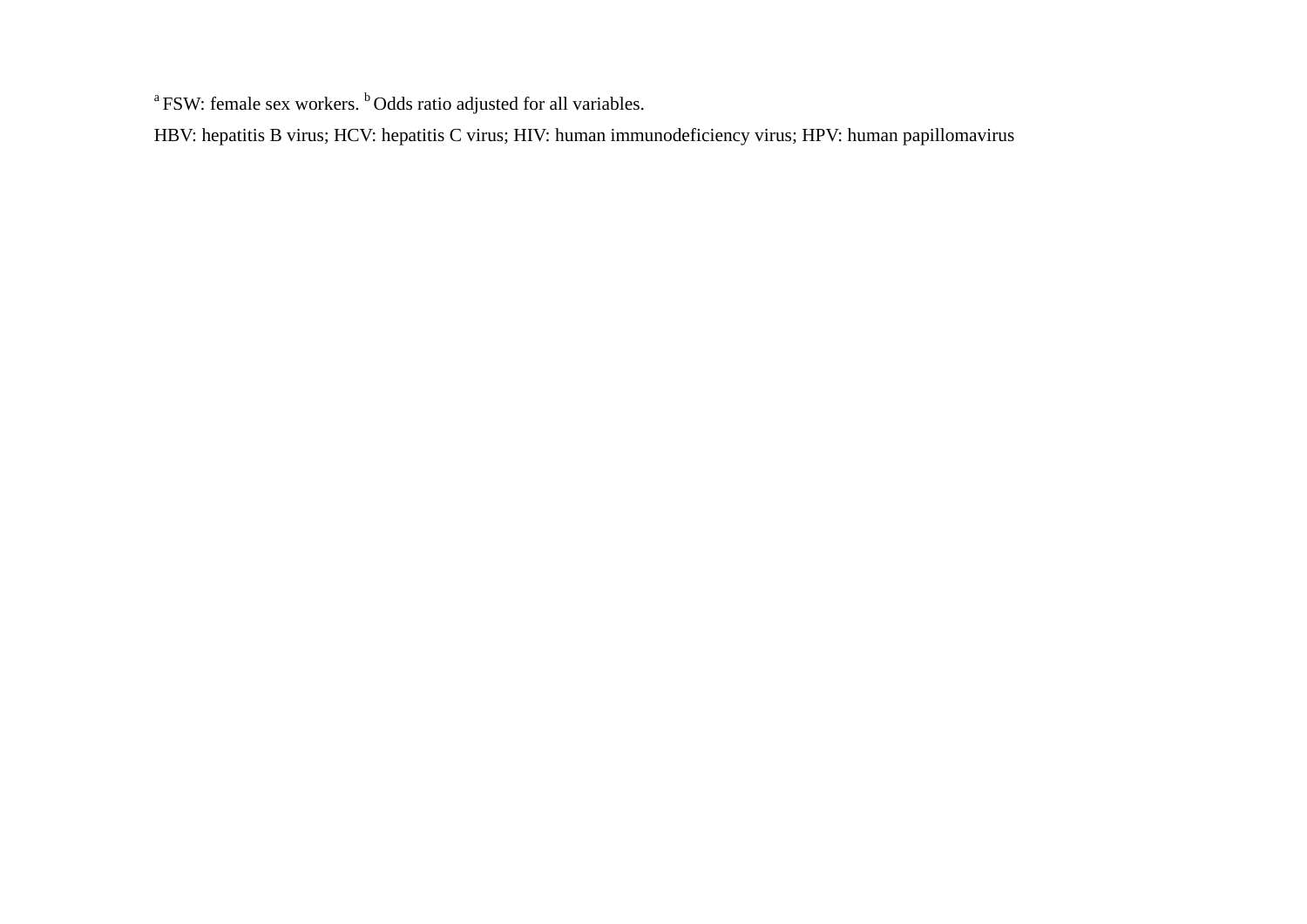<sup>a</sup> FSW: female sex workers. <sup>b</sup> Odds ratio adjusted for all variables.

HBV: hepatitis B virus; HCV: hepatitis C virus; HIV: human immunodeficiency virus; HPV: human papillomavirus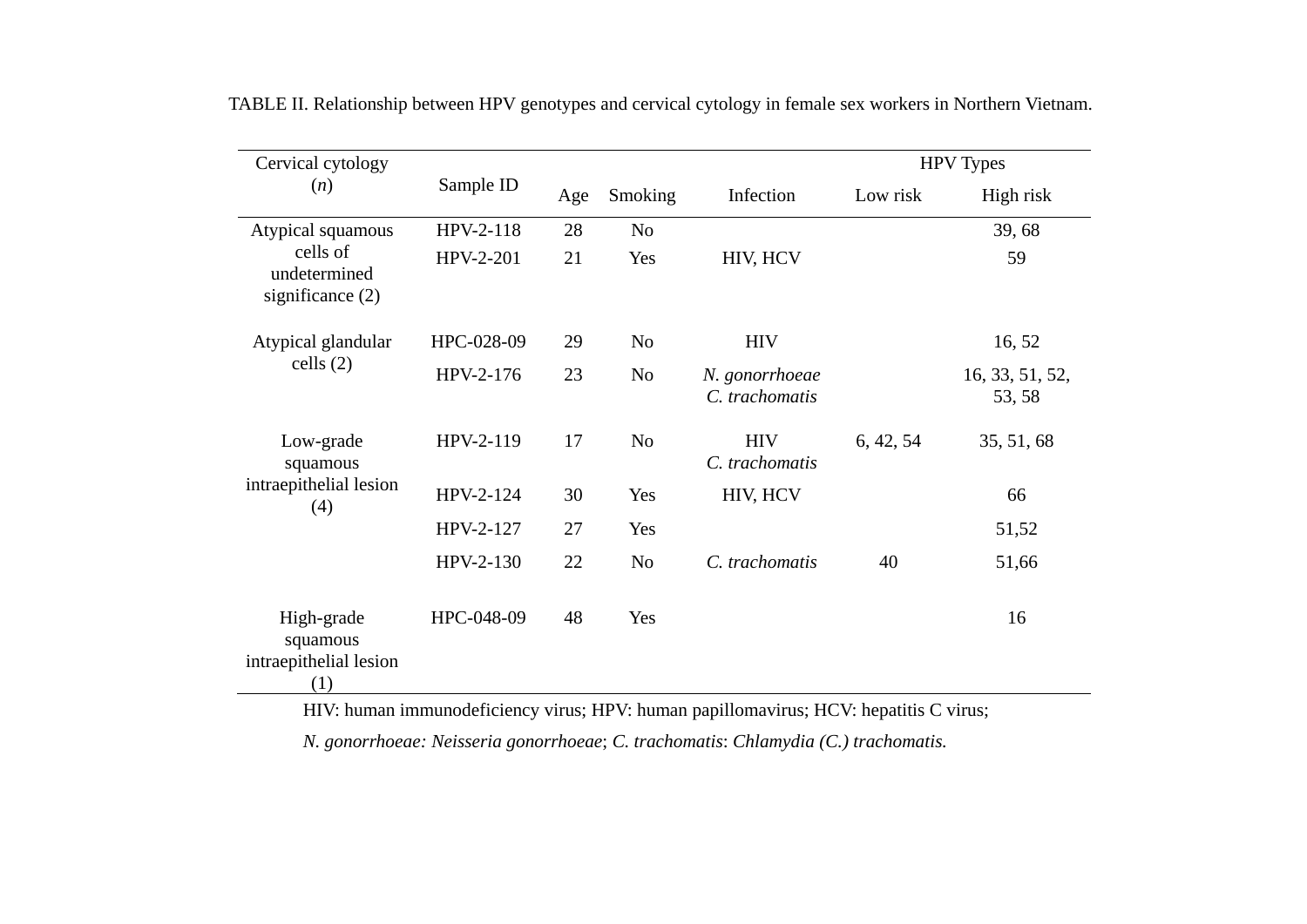| Cervical cytology                                                     |            |     |                |                                  | <b>HPV</b> Types |                           |  |
|-----------------------------------------------------------------------|------------|-----|----------------|----------------------------------|------------------|---------------------------|--|
| (n)                                                                   | Sample ID  | Age | Smoking        | Infection                        | Low risk         | High risk                 |  |
| Atypical squamous<br>cells of<br>undetermined<br>significance $(2)$   | HPV-2-118  | 28  | N <sub>o</sub> |                                  |                  | 39,68                     |  |
|                                                                       | HPV-2-201  | 21  | Yes            | HIV, HCV                         |                  | 59                        |  |
| Atypical glandular<br>cells $(2)$                                     | HPC-028-09 | 29  | N <sub>o</sub> | <b>HIV</b>                       |                  | 16, 52                    |  |
|                                                                       | HPV-2-176  | 23  | N <sub>0</sub> | N. gonorrhoeae<br>C. trachomatis |                  | 16, 33, 51, 52,<br>53, 58 |  |
| Low-grade<br>squamous<br>intraepithelial lesion<br>(4)                | HPV-2-119  | 17  | N <sub>o</sub> | <b>HIV</b><br>C. trachomatis     | 6, 42, 54        | 35, 51, 68                |  |
|                                                                       | HPV-2-124  | 30  | Yes            | HIV, HCV                         |                  | 66                        |  |
|                                                                       | HPV-2-127  | 27  | Yes            |                                  |                  | 51,52                     |  |
|                                                                       | HPV-2-130  | 22  | N <sub>o</sub> | C. trachomatis                   | 40               | 51,66                     |  |
| High-grade<br>squamous<br>intraepithelial lesion<br>$\left( 1\right)$ | HPC-048-09 | 48  | Yes            |                                  |                  | 16                        |  |

TABLE II. Relationship between HPV genotypes and cervical cytology in female sex workers in Northern Vietnam.

HIV: human immunodeficiency virus; HPV: human papillomavirus; HCV: hepatitis C virus;

*N. gonorrhoeae: Neisseria gonorrhoeae*; *C. trachomatis*: *Chlamydia (C.) trachomatis.*